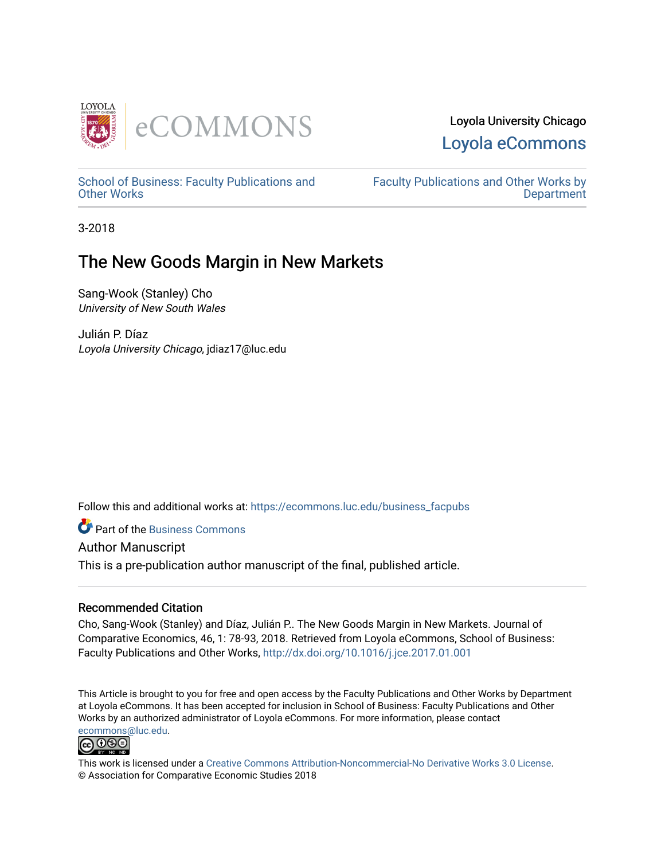

# Loyola University Chicago [Loyola eCommons](https://ecommons.luc.edu/)

[School of Business: Faculty Publications and](https://ecommons.luc.edu/business_facpubs) [Other Works](https://ecommons.luc.edu/business_facpubs)

[Faculty Publications and Other Works by](https://ecommons.luc.edu/faculty)  **Department** 

3-2018

# The New Goods Margin in New Markets

Sang-Wook (Stanley) Cho University of New South Wales

Julián P. Díaz Loyola University Chicago, jdiaz17@luc.edu

Follow this and additional works at: [https://ecommons.luc.edu/business\\_facpubs](https://ecommons.luc.edu/business_facpubs?utm_source=ecommons.luc.edu%2Fbusiness_facpubs%2F162&utm_medium=PDF&utm_campaign=PDFCoverPages) 

**Part of the [Business Commons](http://network.bepress.com/hgg/discipline/622?utm_source=ecommons.luc.edu%2Fbusiness_facpubs%2F162&utm_medium=PDF&utm_campaign=PDFCoverPages)** 

Author Manuscript This is a pre-publication author manuscript of the final, published article.

# Recommended Citation

Cho, Sang-Wook (Stanley) and Díaz, Julián P.. The New Goods Margin in New Markets. Journal of Comparative Economics, 46, 1: 78-93, 2018. Retrieved from Loyola eCommons, School of Business: Faculty Publications and Other Works,<http://dx.doi.org/10.1016/j.jce.2017.01.001>

This Article is brought to you for free and open access by the Faculty Publications and Other Works by Department at Loyola eCommons. It has been accepted for inclusion in School of Business: Faculty Publications and Other Works by an authorized administrator of Loyola eCommons. For more information, please contact [ecommons@luc.edu](mailto:ecommons@luc.edu).



This work is licensed under a [Creative Commons Attribution-Noncommercial-No Derivative Works 3.0 License.](https://creativecommons.org/licenses/by-nc-nd/3.0/) © Association for Comparative Economic Studies 2018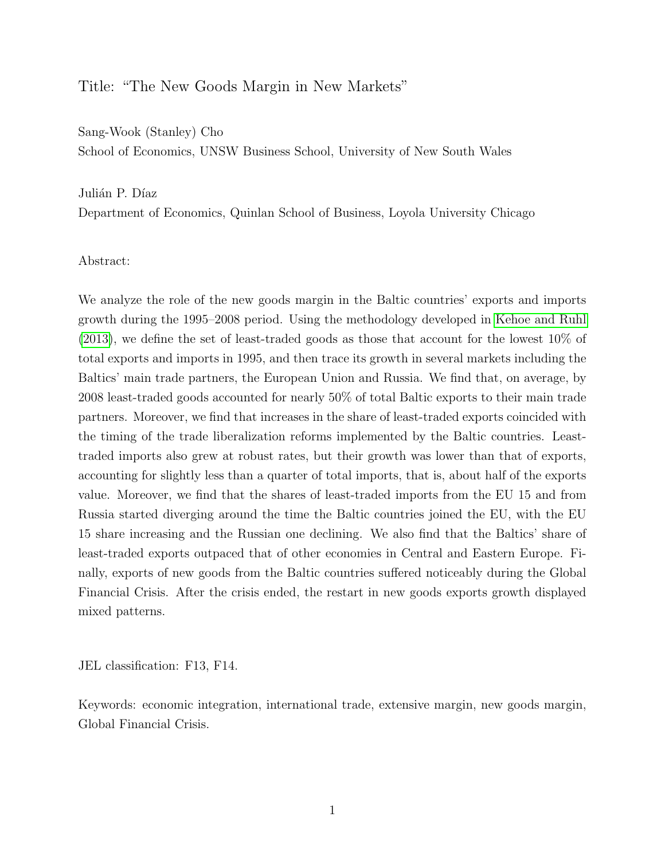# <span id="page-1-0"></span>Title: "The New Goods Margin in New Markets"

Sang-Wook (Stanley) Cho

School of Economics, UNSW Business School, University of New South Wales

# Julián P. Díaz

Department of Economics, Quinlan School of Business, Loyola University Chicago

Abstract:

We analyze the role of the new goods margin in the Baltic countries' exports and imports growth during the 1995–2008 period. Using the methodology developed in [Kehoe and Ruhl](#page-29-0) [\(2013\)](#page-29-0), we define the set of least-traded goods as those that account for the lowest 10% of total exports and imports in 1995, and then trace its growth in several markets including the Baltics' main trade partners, the European Union and Russia. We find that, on average, by 2008 least-traded goods accounted for nearly 50% of total Baltic exports to their main trade partners. Moreover, we find that increases in the share of least-traded exports coincided with the timing of the trade liberalization reforms implemented by the Baltic countries. Leasttraded imports also grew at robust rates, but their growth was lower than that of exports, accounting for slightly less than a quarter of total imports, that is, about half of the exports value. Moreover, we find that the shares of least-traded imports from the EU 15 and from Russia started diverging around the time the Baltic countries joined the EU, with the EU 15 share increasing and the Russian one declining. We also find that the Baltics' share of least-traded exports outpaced that of other economies in Central and Eastern Europe. Finally, exports of new goods from the Baltic countries suffered noticeably during the Global Financial Crisis. After the crisis ended, the restart in new goods exports growth displayed mixed patterns.

JEL classification: F13, F14.

Keywords: economic integration, international trade, extensive margin, new goods margin, Global Financial Crisis.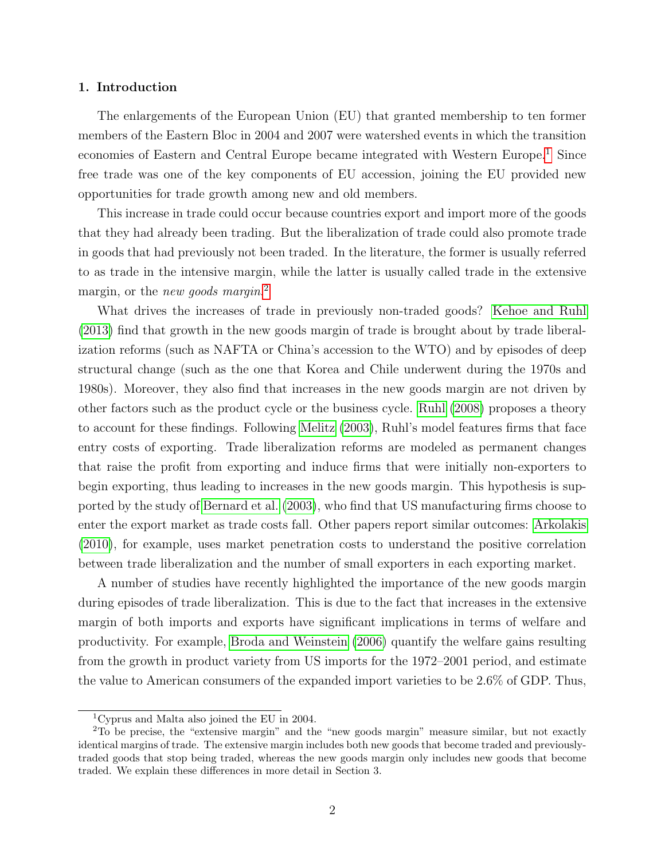#### 1. Introduction

The enlargements of the European Union (EU) that granted membership to ten former members of the Eastern Bloc in 2004 and 2007 were watershed events in which the transition economies of Eastern and Central Europe became integrated with Western Europe.[1](#page-1-0) Since free trade was one of the key components of EU accession, joining the EU provided new opportunities for trade growth among new and old members.

This increase in trade could occur because countries export and import more of the goods that they had already been trading. But the liberalization of trade could also promote trade in goods that had previously not been traded. In the literature, the former is usually referred to as trade in the intensive margin, while the latter is usually called trade in the extensive margin, or the new goods margin.<sup>[2](#page-1-0)</sup>

What drives the increases of trade in previously non-traded goods? [Kehoe and Ruhl](#page-29-0) [\(2013\)](#page-29-0) find that growth in the new goods margin of trade is brought about by trade liberalization reforms (such as NAFTA or China's accession to the WTO) and by episodes of deep structural change (such as the one that Korea and Chile underwent during the 1970s and 1980s). Moreover, they also find that increases in the new goods margin are not driven by other factors such as the product cycle or the business cycle. [Ruhl](#page-29-1) [\(2008\)](#page-29-1) proposes a theory to account for these findings. Following [Melitz](#page-29-2) [\(2003\)](#page-29-2), Ruhl's model features firms that face entry costs of exporting. Trade liberalization reforms are modeled as permanent changes that raise the profit from exporting and induce firms that were initially non-exporters to begin exporting, thus leading to increases in the new goods margin. This hypothesis is supported by the study of [Bernard et al.](#page-28-0) [\(2003\)](#page-28-0), who find that US manufacturing firms choose to enter the export market as trade costs fall. Other papers report similar outcomes: [Arkolakis](#page-28-1) [\(2010\)](#page-28-1), for example, uses market penetration costs to understand the positive correlation between trade liberalization and the number of small exporters in each exporting market.

A number of studies have recently highlighted the importance of the new goods margin during episodes of trade liberalization. This is due to the fact that increases in the extensive margin of both imports and exports have significant implications in terms of welfare and productivity. For example, [Broda and Weinstein](#page-28-2) [\(2006\)](#page-28-2) quantify the welfare gains resulting from the growth in product variety from US imports for the 1972–2001 period, and estimate the value to American consumers of the expanded import varieties to be 2.6% of GDP. Thus,

<sup>1</sup>Cyprus and Malta also joined the EU in 2004.

<sup>2</sup>To be precise, the "extensive margin" and the "new goods margin" measure similar, but not exactly identical margins of trade. The extensive margin includes both new goods that become traded and previouslytraded goods that stop being traded, whereas the new goods margin only includes new goods that become traded. We explain these differences in more detail in Section 3.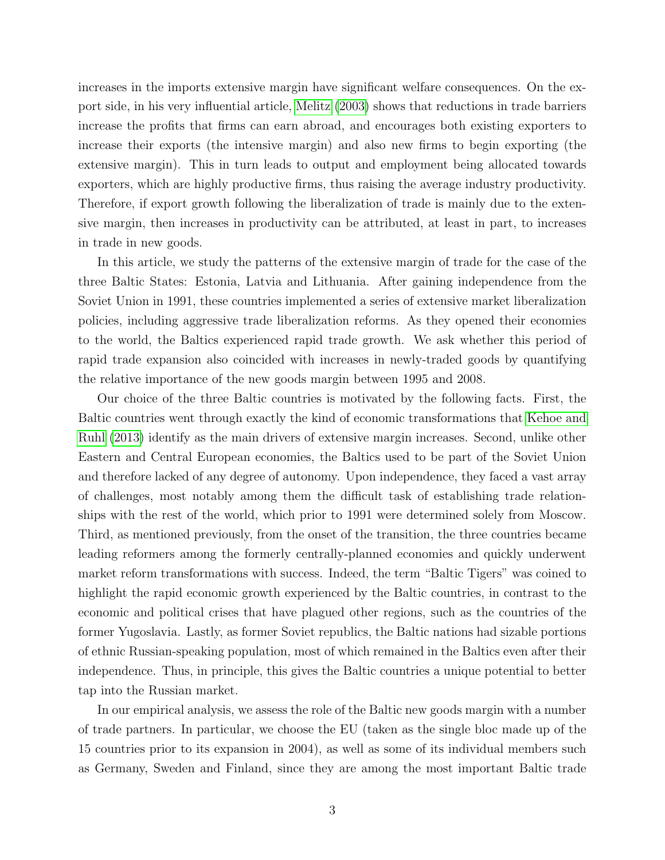increases in the imports extensive margin have significant welfare consequences. On the export side, in his very influential article, [Melitz](#page-29-2) [\(2003\)](#page-29-2) shows that reductions in trade barriers increase the profits that firms can earn abroad, and encourages both existing exporters to increase their exports (the intensive margin) and also new firms to begin exporting (the extensive margin). This in turn leads to output and employment being allocated towards exporters, which are highly productive firms, thus raising the average industry productivity. Therefore, if export growth following the liberalization of trade is mainly due to the extensive margin, then increases in productivity can be attributed, at least in part, to increases in trade in new goods.

In this article, we study the patterns of the extensive margin of trade for the case of the three Baltic States: Estonia, Latvia and Lithuania. After gaining independence from the Soviet Union in 1991, these countries implemented a series of extensive market liberalization policies, including aggressive trade liberalization reforms. As they opened their economies to the world, the Baltics experienced rapid trade growth. We ask whether this period of rapid trade expansion also coincided with increases in newly-traded goods by quantifying the relative importance of the new goods margin between 1995 and 2008.

Our choice of the three Baltic countries is motivated by the following facts. First, the Baltic countries went through exactly the kind of economic transformations that [Kehoe and](#page-29-0) [Ruhl](#page-29-0) [\(2013\)](#page-29-0) identify as the main drivers of extensive margin increases. Second, unlike other Eastern and Central European economies, the Baltics used to be part of the Soviet Union and therefore lacked of any degree of autonomy. Upon independence, they faced a vast array of challenges, most notably among them the difficult task of establishing trade relationships with the rest of the world, which prior to 1991 were determined solely from Moscow. Third, as mentioned previously, from the onset of the transition, the three countries became leading reformers among the formerly centrally-planned economies and quickly underwent market reform transformations with success. Indeed, the term "Baltic Tigers" was coined to highlight the rapid economic growth experienced by the Baltic countries, in contrast to the economic and political crises that have plagued other regions, such as the countries of the former Yugoslavia. Lastly, as former Soviet republics, the Baltic nations had sizable portions of ethnic Russian-speaking population, most of which remained in the Baltics even after their independence. Thus, in principle, this gives the Baltic countries a unique potential to better tap into the Russian market.

In our empirical analysis, we assess the role of the Baltic new goods margin with a number of trade partners. In particular, we choose the EU (taken as the single bloc made up of the 15 countries prior to its expansion in 2004), as well as some of its individual members such as Germany, Sweden and Finland, since they are among the most important Baltic trade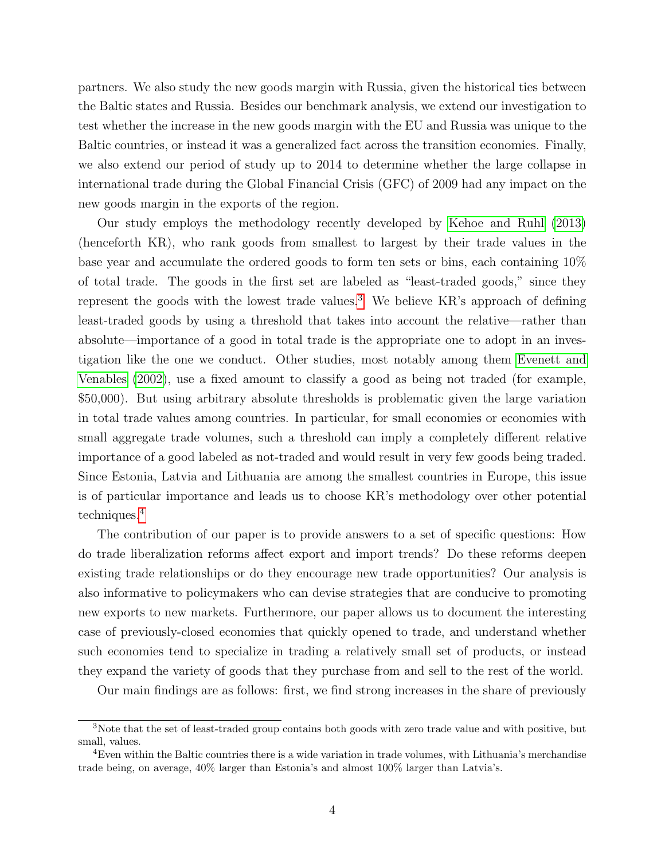partners. We also study the new goods margin with Russia, given the historical ties between the Baltic states and Russia. Besides our benchmark analysis, we extend our investigation to test whether the increase in the new goods margin with the EU and Russia was unique to the Baltic countries, or instead it was a generalized fact across the transition economies. Finally, we also extend our period of study up to 2014 to determine whether the large collapse in international trade during the Global Financial Crisis (GFC) of 2009 had any impact on the new goods margin in the exports of the region.

Our study employs the methodology recently developed by [Kehoe and Ruhl](#page-29-0) [\(2013\)](#page-29-0) (henceforth KR), who rank goods from smallest to largest by their trade values in the base year and accumulate the ordered goods to form ten sets or bins, each containing 10% of total trade. The goods in the first set are labeled as "least-traded goods," since they represent the goods with the lowest trade values.<sup>[3](#page-1-0)</sup> We believe KR's approach of defining least-traded goods by using a threshold that takes into account the relative—rather than absolute—importance of a good in total trade is the appropriate one to adopt in an investigation like the one we conduct. Other studies, most notably among them [Evenett and](#page-28-3) [Venables](#page-28-3) [\(2002\)](#page-28-3), use a fixed amount to classify a good as being not traded (for example, \$50,000). But using arbitrary absolute thresholds is problematic given the large variation in total trade values among countries. In particular, for small economies or economies with small aggregate trade volumes, such a threshold can imply a completely different relative importance of a good labeled as not-traded and would result in very few goods being traded. Since Estonia, Latvia and Lithuania are among the smallest countries in Europe, this issue is of particular importance and leads us to choose KR's methodology over other potential techniques.<sup>[4](#page-1-0)</sup>

The contribution of our paper is to provide answers to a set of specific questions: How do trade liberalization reforms affect export and import trends? Do these reforms deepen existing trade relationships or do they encourage new trade opportunities? Our analysis is also informative to policymakers who can devise strategies that are conducive to promoting new exports to new markets. Furthermore, our paper allows us to document the interesting case of previously-closed economies that quickly opened to trade, and understand whether such economies tend to specialize in trading a relatively small set of products, or instead they expand the variety of goods that they purchase from and sell to the rest of the world.

Our main findings are as follows: first, we find strong increases in the share of previously

<sup>&</sup>lt;sup>3</sup>Note that the set of least-traded group contains both goods with zero trade value and with positive, but small, values.

<sup>&</sup>lt;sup>4</sup>Even within the Baltic countries there is a wide variation in trade volumes, with Lithuania's merchandise trade being, on average, 40% larger than Estonia's and almost 100% larger than Latvia's.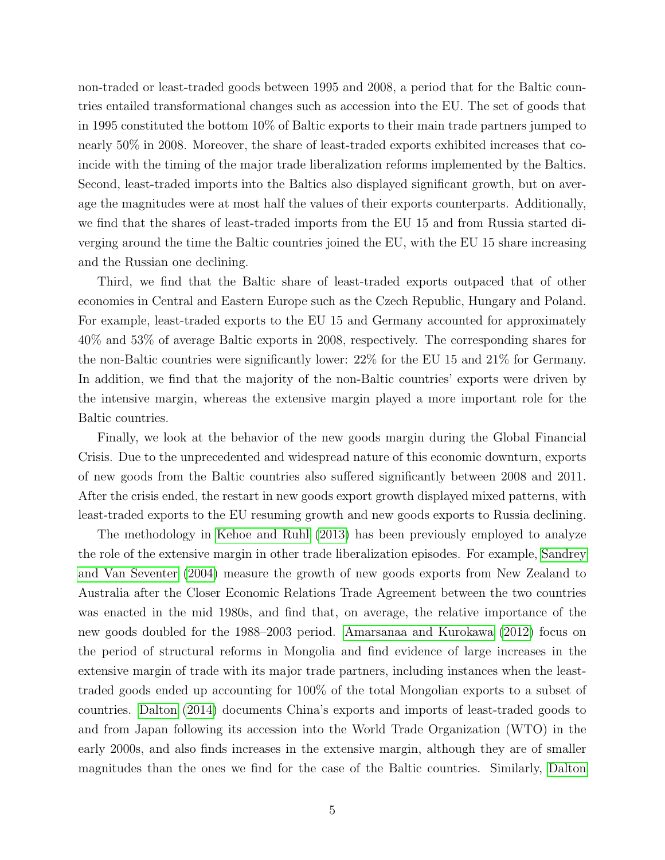non-traded or least-traded goods between 1995 and 2008, a period that for the Baltic countries entailed transformational changes such as accession into the EU. The set of goods that in 1995 constituted the bottom 10% of Baltic exports to their main trade partners jumped to nearly 50% in 2008. Moreover, the share of least-traded exports exhibited increases that coincide with the timing of the major trade liberalization reforms implemented by the Baltics. Second, least-traded imports into the Baltics also displayed significant growth, but on average the magnitudes were at most half the values of their exports counterparts. Additionally, we find that the shares of least-traded imports from the EU 15 and from Russia started diverging around the time the Baltic countries joined the EU, with the EU 15 share increasing and the Russian one declining.

Third, we find that the Baltic share of least-traded exports outpaced that of other economies in Central and Eastern Europe such as the Czech Republic, Hungary and Poland. For example, least-traded exports to the EU 15 and Germany accounted for approximately 40% and 53% of average Baltic exports in 2008, respectively. The corresponding shares for the non-Baltic countries were significantly lower: 22% for the EU 15 and 21% for Germany. In addition, we find that the majority of the non-Baltic countries' exports were driven by the intensive margin, whereas the extensive margin played a more important role for the Baltic countries.

Finally, we look at the behavior of the new goods margin during the Global Financial Crisis. Due to the unprecedented and widespread nature of this economic downturn, exports of new goods from the Baltic countries also suffered significantly between 2008 and 2011. After the crisis ended, the restart in new goods export growth displayed mixed patterns, with least-traded exports to the EU resuming growth and new goods exports to Russia declining.

The methodology in [Kehoe and Ruhl](#page-29-0) [\(2013\)](#page-29-0) has been previously employed to analyze the role of the extensive margin in other trade liberalization episodes. For example, [Sandrey](#page-29-3) [and Van Seventer](#page-29-3) [\(2004\)](#page-29-3) measure the growth of new goods exports from New Zealand to Australia after the Closer Economic Relations Trade Agreement between the two countries was enacted in the mid 1980s, and find that, on average, the relative importance of the new goods doubled for the 1988–2003 period. [Amarsanaa and Kurokawa](#page-28-4) [\(2012\)](#page-28-4) focus on the period of structural reforms in Mongolia and find evidence of large increases in the extensive margin of trade with its major trade partners, including instances when the leasttraded goods ended up accounting for 100% of the total Mongolian exports to a subset of countries. [Dalton](#page-28-5) [\(2014\)](#page-28-5) documents China's exports and imports of least-traded goods to and from Japan following its accession into the World Trade Organization (WTO) in the early 2000s, and also finds increases in the extensive margin, although they are of smaller magnitudes than the ones we find for the case of the Baltic countries. Similarly, [Dalton](#page-28-6)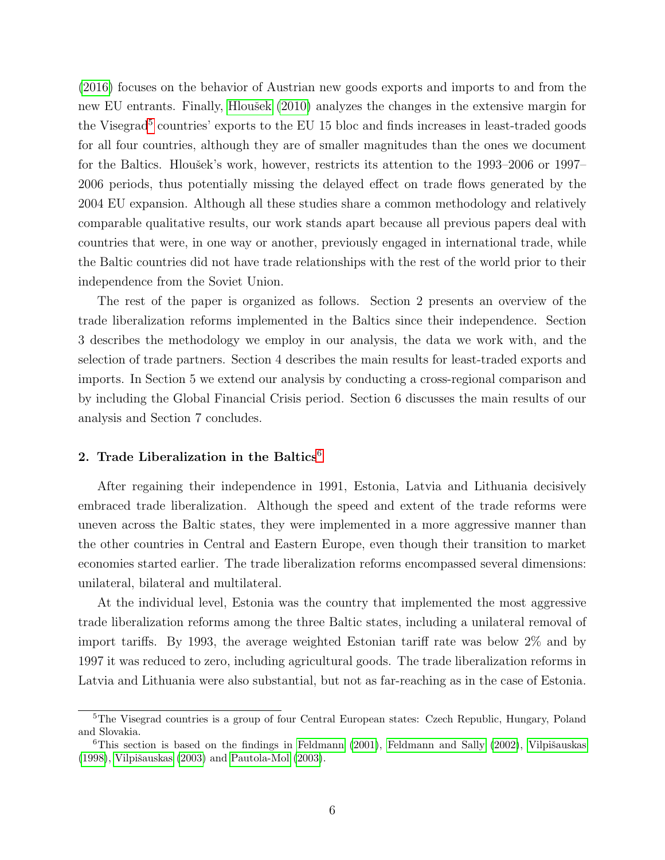[\(2016\)](#page-28-6) focuses on the behavior of Austrian new goods exports and imports to and from the new EU entrants. Finally, Hloušek [\(2010\)](#page-29-4) analyzes the changes in the extensive margin for the Visegrad<sup>[5](#page-1-0)</sup> countries' exports to the EU 15 bloc and finds increases in least-traded goods for all four countries, although they are of smaller magnitudes than the ones we document for the Baltics. Hloušek's work, however, restricts its attention to the 1993–2006 or 1997– 2006 periods, thus potentially missing the delayed effect on trade flows generated by the 2004 EU expansion. Although all these studies share a common methodology and relatively comparable qualitative results, our work stands apart because all previous papers deal with countries that were, in one way or another, previously engaged in international trade, while the Baltic countries did not have trade relationships with the rest of the world prior to their independence from the Soviet Union.

The rest of the paper is organized as follows. Section 2 presents an overview of the trade liberalization reforms implemented in the Baltics since their independence. Section 3 describes the methodology we employ in our analysis, the data we work with, and the selection of trade partners. Section 4 describes the main results for least-traded exports and imports. In Section 5 we extend our analysis by conducting a cross-regional comparison and by including the Global Financial Crisis period. Section 6 discusses the main results of our analysis and Section 7 concludes.

# <span id="page-6-0"></span>2. Trade Liberalization in the Baltics $6$

After regaining their independence in 1991, Estonia, Latvia and Lithuania decisively embraced trade liberalization. Although the speed and extent of the trade reforms were uneven across the Baltic states, they were implemented in a more aggressive manner than the other countries in Central and Eastern Europe, even though their transition to market economies started earlier. The trade liberalization reforms encompassed several dimensions: unilateral, bilateral and multilateral.

At the individual level, Estonia was the country that implemented the most aggressive trade liberalization reforms among the three Baltic states, including a unilateral removal of import tariffs. By 1993, the average weighted Estonian tariff rate was below 2% and by 1997 it was reduced to zero, including agricultural goods. The trade liberalization reforms in Latvia and Lithuania were also substantial, but not as far-reaching as in the case of Estonia.

<sup>&</sup>lt;sup>5</sup>The Visegrad countries is a group of four Central European states: Czech Republic, Hungary, Poland and Slovakia.

<sup>&</sup>lt;sup>6</sup>This section is based on the findings in [Feldmann](#page-29-5) [\(2001\)](#page-29-5), [Feldmann and Sally](#page-29-6) [\(2002\)](#page-29-6), Vilpišauskas  $(1998)$ , Vilpišauskas  $(2003)$  and [Pautola-Mol](#page-29-9)  $(2003)$ .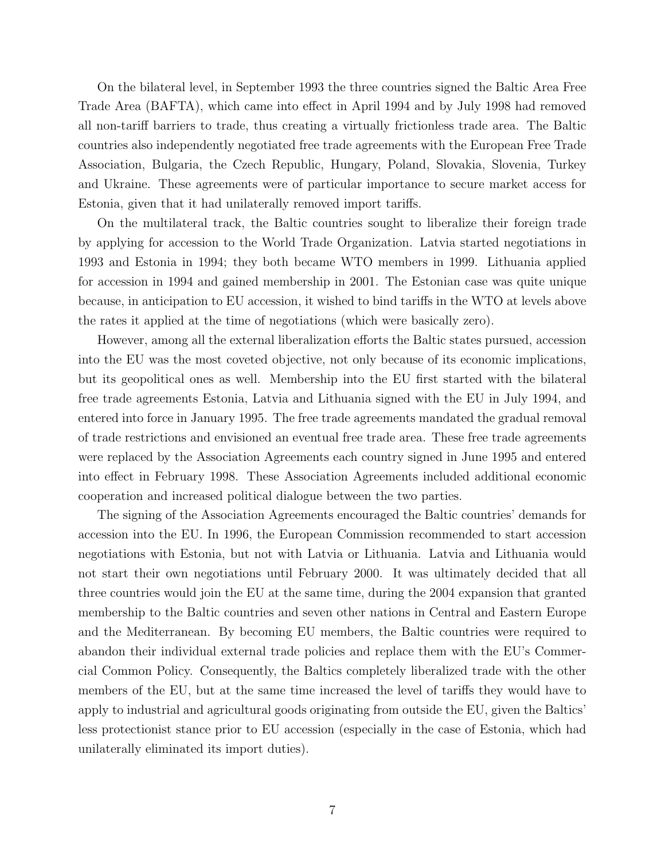On the bilateral level, in September 1993 the three countries signed the Baltic Area Free Trade Area (BAFTA), which came into effect in April 1994 and by July 1998 had removed all non-tariff barriers to trade, thus creating a virtually frictionless trade area. The Baltic countries also independently negotiated free trade agreements with the European Free Trade Association, Bulgaria, the Czech Republic, Hungary, Poland, Slovakia, Slovenia, Turkey and Ukraine. These agreements were of particular importance to secure market access for Estonia, given that it had unilaterally removed import tariffs.

On the multilateral track, the Baltic countries sought to liberalize their foreign trade by applying for accession to the World Trade Organization. Latvia started negotiations in 1993 and Estonia in 1994; they both became WTO members in 1999. Lithuania applied for accession in 1994 and gained membership in 2001. The Estonian case was quite unique because, in anticipation to EU accession, it wished to bind tariffs in the WTO at levels above the rates it applied at the time of negotiations (which were basically zero).

However, among all the external liberalization efforts the Baltic states pursued, accession into the EU was the most coveted objective, not only because of its economic implications, but its geopolitical ones as well. Membership into the EU first started with the bilateral free trade agreements Estonia, Latvia and Lithuania signed with the EU in July 1994, and entered into force in January 1995. The free trade agreements mandated the gradual removal of trade restrictions and envisioned an eventual free trade area. These free trade agreements were replaced by the Association Agreements each country signed in June 1995 and entered into effect in February 1998. These Association Agreements included additional economic cooperation and increased political dialogue between the two parties.

The signing of the Association Agreements encouraged the Baltic countries' demands for accession into the EU. In 1996, the European Commission recommended to start accession negotiations with Estonia, but not with Latvia or Lithuania. Latvia and Lithuania would not start their own negotiations until February 2000. It was ultimately decided that all three countries would join the EU at the same time, during the 2004 expansion that granted membership to the Baltic countries and seven other nations in Central and Eastern Europe and the Mediterranean. By becoming EU members, the Baltic countries were required to abandon their individual external trade policies and replace them with the EU's Commercial Common Policy. Consequently, the Baltics completely liberalized trade with the other members of the EU, but at the same time increased the level of tariffs they would have to apply to industrial and agricultural goods originating from outside the EU, given the Baltics' less protectionist stance prior to EU accession (especially in the case of Estonia, which had unilaterally eliminated its import duties).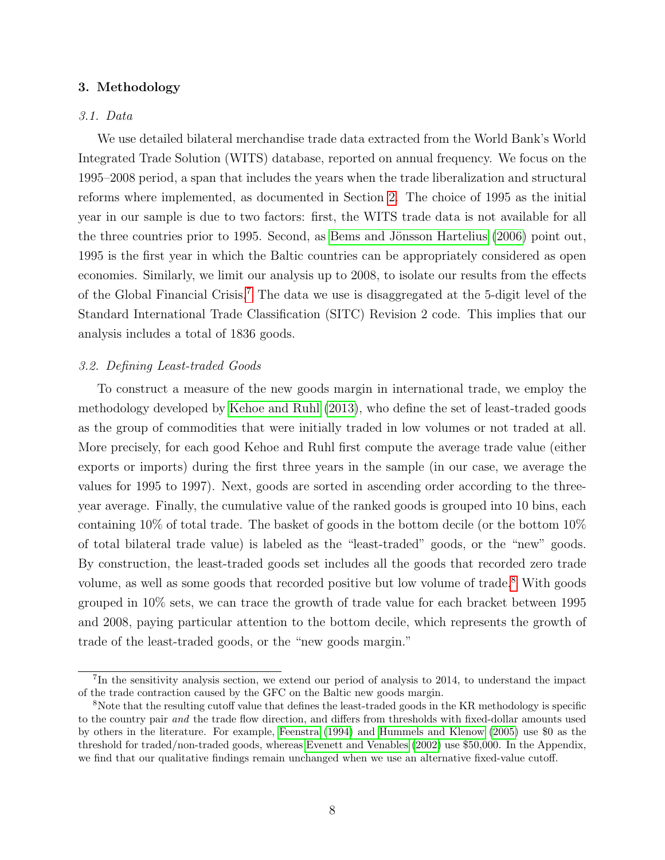## 3. Methodology

#### 3.1. Data

We use detailed bilateral merchandise trade data extracted from the World Bank's World Integrated Trade Solution (WITS) database, reported on annual frequency. We focus on the 1995–2008 period, a span that includes the years when the trade liberalization and structural reforms where implemented, as documented in Section [2.](#page-6-0) The choice of 1995 as the initial year in our sample is due to two factors: first, the WITS trade data is not available for all the three countries prior to 1995. Second, as Bems and Jönsson Hartelius [\(2006\)](#page-28-7) point out, 1995 is the first year in which the Baltic countries can be appropriately considered as open economies. Similarly, we limit our analysis up to 2008, to isolate our results from the effects of the Global Financial Crisis.[7](#page-1-0) The data we use is disaggregated at the 5-digit level of the Standard International Trade Classification (SITC) Revision 2 code. This implies that our analysis includes a total of 1836 goods.

## <span id="page-8-0"></span>3.2. Defining Least-traded Goods

To construct a measure of the new goods margin in international trade, we employ the methodology developed by [Kehoe and Ruhl](#page-29-0) [\(2013\)](#page-29-0), who define the set of least-traded goods as the group of commodities that were initially traded in low volumes or not traded at all. More precisely, for each good Kehoe and Ruhl first compute the average trade value (either exports or imports) during the first three years in the sample (in our case, we average the values for 1995 to 1997). Next, goods are sorted in ascending order according to the threeyear average. Finally, the cumulative value of the ranked goods is grouped into 10 bins, each containing 10% of total trade. The basket of goods in the bottom decile (or the bottom 10% of total bilateral trade value) is labeled as the "least-traded" goods, or the "new" goods. By construction, the least-traded goods set includes all the goods that recorded zero trade volume, as well as some goods that recorded positive but low volume of trade.[8](#page-1-0) With goods grouped in 10% sets, we can trace the growth of trade value for each bracket between 1995 and 2008, paying particular attention to the bottom decile, which represents the growth of trade of the least-traded goods, or the "new goods margin."

<sup>&</sup>lt;sup>7</sup>In the sensitivity analysis section, we extend our period of analysis to 2014, to understand the impact of the trade contraction caused by the GFC on the Baltic new goods margin.

<sup>&</sup>lt;sup>8</sup>Note that the resulting cutoff value that defines the least-traded goods in the KR methodology is specific to the country pair and the trade flow direction, and differs from thresholds with fixed-dollar amounts used by others in the literature. For example, [Feenstra](#page-28-8) [\(1994\)](#page-28-8) and [Hummels and Klenow](#page-29-10) [\(2005\)](#page-29-10) use \$0 as the threshold for traded/non-traded goods, whereas [Evenett and Venables](#page-28-3) [\(2002\)](#page-28-3) use \$50,000. In the Appendix, we find that our qualitative findings remain unchanged when we use an alternative fixed-value cutoff.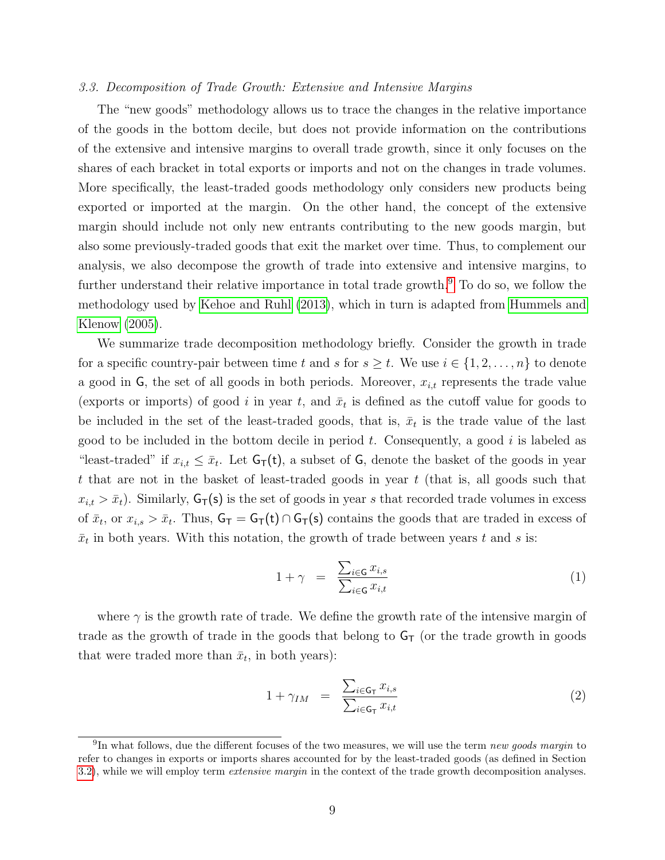#### 3.3. Decomposition of Trade Growth: Extensive and Intensive Margins

The "new goods" methodology allows us to trace the changes in the relative importance of the goods in the bottom decile, but does not provide information on the contributions of the extensive and intensive margins to overall trade growth, since it only focuses on the shares of each bracket in total exports or imports and not on the changes in trade volumes. More specifically, the least-traded goods methodology only considers new products being exported or imported at the margin. On the other hand, the concept of the extensive margin should include not only new entrants contributing to the new goods margin, but also some previously-traded goods that exit the market over time. Thus, to complement our analysis, we also decompose the growth of trade into extensive and intensive margins, to further understand their relative importance in total trade growth.<sup>[9](#page-1-0)</sup> To do so, we follow the methodology used by [Kehoe and Ruhl](#page-29-0) [\(2013\)](#page-29-0), which in turn is adapted from [Hummels and](#page-29-10) [Klenow](#page-29-10) [\(2005\)](#page-29-10).

We summarize trade decomposition methodology briefly. Consider the growth in trade for a specific country-pair between time t and s for  $s \geq t$ . We use  $i \in \{1, 2, \ldots, n\}$  to denote a good in  $\mathsf{G}$ , the set of all goods in both periods. Moreover,  $x_{i,t}$  represents the trade value (exports or imports) of good i in year t, and  $\bar{x}_t$  is defined as the cutoff value for goods to be included in the set of the least-traded goods, that is,  $\bar{x}_t$  is the trade value of the last good to be included in the bottom decile in period  $t$ . Consequently, a good  $i$  is labeled as "least-traded" if  $x_{i,t} \leq \bar{x}_t$ . Let  $G_T(t)$ , a subset of G, denote the basket of the goods in year t that are not in the basket of least-traded goods in year t (that is, all goods such that  $x_{i,t} > \bar{x}_t$ . Similarly,  $G_T(s)$  is the set of goods in year s that recorded trade volumes in excess of  $\bar{x}_t$ , or  $x_{i,s} > \bar{x}_t$ . Thus,  $G_\mathsf{T} = G_\mathsf{T}(t) \cap G_\mathsf{T}(s)$  contains the goods that are traded in excess of  $\bar{x}_t$  in both years. With this notation, the growth of trade between years t and s is:

<span id="page-9-0"></span>
$$
1 + \gamma = \frac{\sum_{i \in \mathsf{G}} x_{i,s}}{\sum_{i \in \mathsf{G}} x_{i,t}} \tag{1}
$$

where  $\gamma$  is the growth rate of trade. We define the growth rate of the intensive margin of trade as the growth of trade in the goods that belong to  $G<sub>T</sub>$  (or the trade growth in goods that were traded more than  $\bar{x}_t$ , in both years):

<span id="page-9-1"></span>
$$
1 + \gamma_{IM} = \frac{\sum_{i \in \mathsf{G}_{\mathsf{T}}} x_{i,s}}{\sum_{i \in \mathsf{G}_{\mathsf{T}}} x_{i,t}}
$$
(2)

<sup>&</sup>lt;sup>9</sup>In what follows, due the different focuses of the two measures, we will use the term new goods margin to refer to changes in exports or imports shares accounted for by the least-traded goods (as defined in Section [3.2\)](#page-8-0), while we will employ term extensive margin in the context of the trade growth decomposition analyses.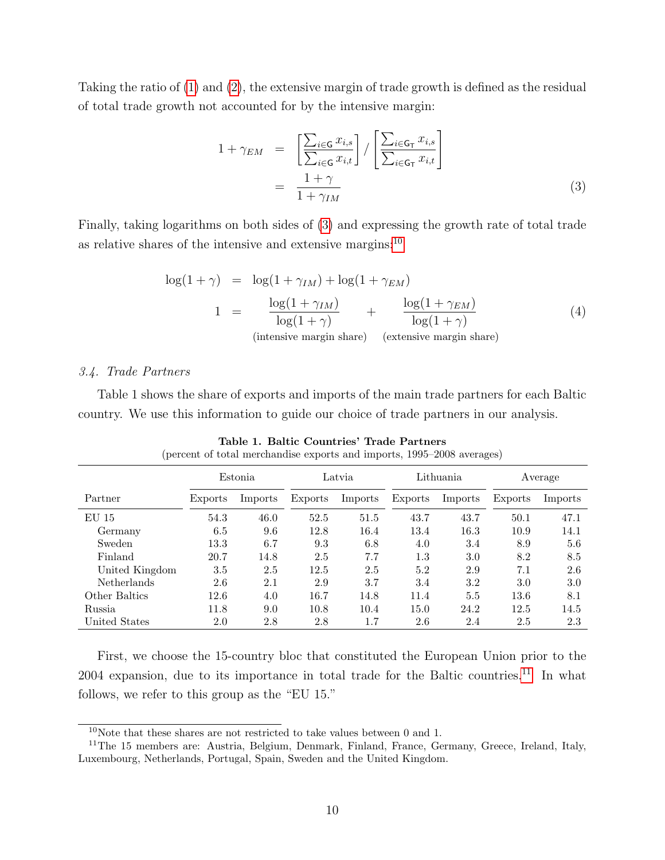Taking the ratio of [\(1\)](#page-9-0) and [\(2\)](#page-9-1), the extensive margin of trade growth is defined as the residual of total trade growth not accounted for by the intensive margin:

<span id="page-10-0"></span>
$$
1 + \gamma_{EM} = \left[ \frac{\sum_{i \in G} x_{i,s}}{\sum_{i \in G} x_{i,t}} \right] / \left[ \frac{\sum_{i \in G_T} x_{i,s}}{\sum_{i \in G_T} x_{i,t}} \right]
$$
  
= 
$$
\frac{1 + \gamma}{1 + \gamma_{IM}}
$$
 (3)

Finally, taking logarithms on both sides of [\(3\)](#page-10-0) and expressing the growth rate of total trade as relative shares of the intensive and extensive margins:[10](#page-1-0)

$$
\log(1+\gamma) = \log(1+\gamma_{IM}) + \log(1+\gamma_{EM})
$$
  
\n
$$
1 = \frac{\log(1+\gamma_{IM})}{\log(1+\gamma)} + \frac{\log(1+\gamma_{EM})}{\log(1+\gamma)}
$$
(4)  
\n(intensive margin share) (extensive margin share)

# 3.4. Trade Partners

Table 1 shows the share of exports and imports of the main trade partners for each Baltic country. We use this information to guide our choice of trade partners in our analysis.

|                | Estonia |         |         | Latvia  |         |         | Lithuania<br>Average |         |  |
|----------------|---------|---------|---------|---------|---------|---------|----------------------|---------|--|
| Partner        | Exports | Imports | Exports | Imports | Exports | Imports | Exports              | Imports |  |
| <b>EU 15</b>   | 54.3    | 46.0    | 52.5    | 51.5    | 43.7    | 43.7    | 50.1                 | 47.1    |  |
| Germany        | 6.5     | 9.6     | 12.8    | 16.4    | 13.4    | 16.3    | 10.9                 | 14.1    |  |
| Sweden         | 13.3    | 6.7     | 9.3     | 6.8     | 4.0     | 3.4     | 8.9                  | 5.6     |  |
| Finland        | 20.7    | 14.8    | 2.5     | 7.7     | $1.3\,$ | 3.0     | 8.2                  | 8.5     |  |
| United Kingdom | $3.5\,$ | 2.5     | 12.5    | 2.5     | 5.2     | 2.9     | 7.1                  | 2.6     |  |
| Netherlands    | 2.6     | 2.1     | 2.9     | 3.7     | 3.4     | 3.2     | 3.0                  | 3.0     |  |
| Other Baltics  | 12.6    | 4.0     | 16.7    | 14.8    | 11.4    | 5.5     | 13.6                 | 8.1     |  |
| Russia         | 11.8    | 9.0     | 10.8    | 10.4    | 15.0    | 24.2    | 12.5                 | 14.5    |  |
| United States  | $2.0\,$ | 2.8     | 2.8     | $1.7\,$ | 2.6     | 2.4     | 2.5                  | 2.3     |  |

Table 1. Baltic Countries' Trade Partners (percent of total merchandise exports and imports, 1995–2008 averages)

First, we choose the 15-country bloc that constituted the European Union prior to the  $2004$  expansion, due to its importance in total trade for the Baltic countries.<sup>[11](#page-1-0)</sup> In what follows, we refer to this group as the "EU 15."

<sup>&</sup>lt;sup>10</sup>Note that these shares are not restricted to take values between 0 and 1.

<sup>11</sup>The 15 members are: Austria, Belgium, Denmark, Finland, France, Germany, Greece, Ireland, Italy, Luxembourg, Netherlands, Portugal, Spain, Sweden and the United Kingdom.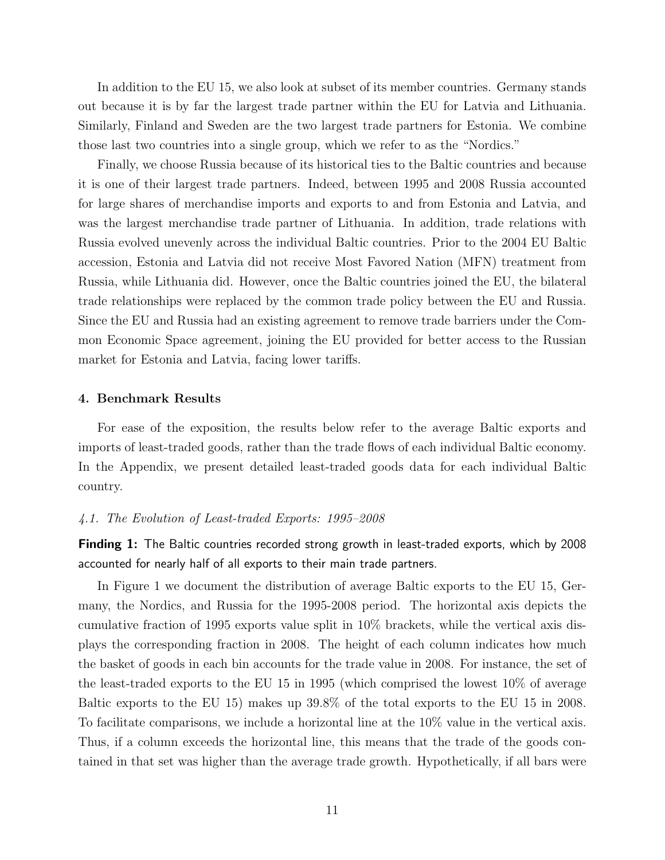In addition to the EU 15, we also look at subset of its member countries. Germany stands out because it is by far the largest trade partner within the EU for Latvia and Lithuania. Similarly, Finland and Sweden are the two largest trade partners for Estonia. We combine those last two countries into a single group, which we refer to as the "Nordics."

Finally, we choose Russia because of its historical ties to the Baltic countries and because it is one of their largest trade partners. Indeed, between 1995 and 2008 Russia accounted for large shares of merchandise imports and exports to and from Estonia and Latvia, and was the largest merchandise trade partner of Lithuania. In addition, trade relations with Russia evolved unevenly across the individual Baltic countries. Prior to the 2004 EU Baltic accession, Estonia and Latvia did not receive Most Favored Nation (MFN) treatment from Russia, while Lithuania did. However, once the Baltic countries joined the EU, the bilateral trade relationships were replaced by the common trade policy between the EU and Russia. Since the EU and Russia had an existing agreement to remove trade barriers under the Common Economic Space agreement, joining the EU provided for better access to the Russian market for Estonia and Latvia, facing lower tariffs.

#### 4. Benchmark Results

For ease of the exposition, the results below refer to the average Baltic exports and imports of least-traded goods, rather than the trade flows of each individual Baltic economy. In the Appendix, we present detailed least-traded goods data for each individual Baltic country.

## 4.1. The Evolution of Least-traded Exports: 1995–2008

**Finding 1:** The Baltic countries recorded strong growth in least-traded exports, which by 2008 accounted for nearly half of all exports to their main trade partners.

In Figure 1 we document the distribution of average Baltic exports to the EU 15, Germany, the Nordics, and Russia for the 1995-2008 period. The horizontal axis depicts the cumulative fraction of 1995 exports value split in 10% brackets, while the vertical axis displays the corresponding fraction in 2008. The height of each column indicates how much the basket of goods in each bin accounts for the trade value in 2008. For instance, the set of the least-traded exports to the EU 15 in 1995 (which comprised the lowest 10% of average Baltic exports to the EU 15) makes up 39.8% of the total exports to the EU 15 in 2008. To facilitate comparisons, we include a horizontal line at the 10% value in the vertical axis. Thus, if a column exceeds the horizontal line, this means that the trade of the goods contained in that set was higher than the average trade growth. Hypothetically, if all bars were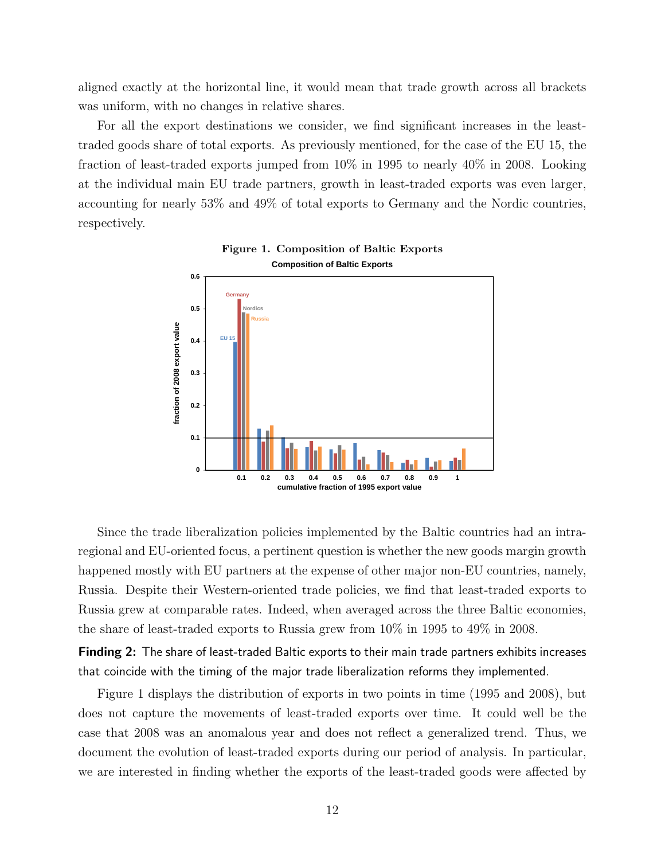aligned exactly at the horizontal line, it would mean that trade growth across all brackets was uniform, with no changes in relative shares.

For all the export destinations we consider, we find significant increases in the leasttraded goods share of total exports. As previously mentioned, for the case of the EU 15, the fraction of least-traded exports jumped from 10% in 1995 to nearly 40% in 2008. Looking at the individual main EU trade partners, growth in least-traded exports was even larger, accounting for nearly 53% and 49% of total exports to Germany and the Nordic countries, respectively.



Since the trade liberalization policies implemented by the Baltic countries had an intraregional and EU-oriented focus, a pertinent question is whether the new goods margin growth happened mostly with EU partners at the expense of other major non-EU countries, namely, Russia. Despite their Western-oriented trade policies, we find that least-traded exports to Russia grew at comparable rates. Indeed, when averaged across the three Baltic economies, the share of least-traded exports to Russia grew from 10% in 1995 to 49% in 2008.

Finding 2: The share of least-traded Baltic exports to their main trade partners exhibits increases that coincide with the timing of the major trade liberalization reforms they implemented.

Figure 1 displays the distribution of exports in two points in time (1995 and 2008), but does not capture the movements of least-traded exports over time. It could well be the case that 2008 was an anomalous year and does not reflect a generalized trend. Thus, we document the evolution of least-traded exports during our period of analysis. In particular, we are interested in finding whether the exports of the least-traded goods were affected by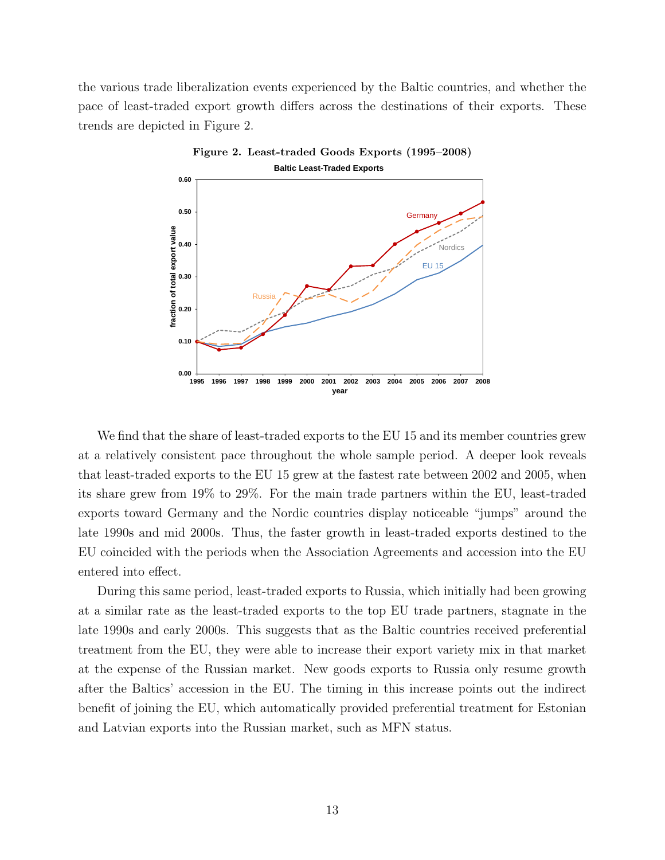the various trade liberalization events experienced by the Baltic countries, and whether the pace of least-traded export growth differs across the destinations of their exports. These trends are depicted in Figure 2.





We find that the share of least-traded exports to the EU 15 and its member countries grew at a relatively consistent pace throughout the whole sample period. A deeper look reveals that least-traded exports to the EU 15 grew at the fastest rate between 2002 and 2005, when its share grew from 19% to 29%. For the main trade partners within the EU, least-traded exports toward Germany and the Nordic countries display noticeable "jumps" around the late 1990s and mid 2000s. Thus, the faster growth in least-traded exports destined to the EU coincided with the periods when the Association Agreements and accession into the EU entered into effect.

During this same period, least-traded exports to Russia, which initially had been growing at a similar rate as the least-traded exports to the top EU trade partners, stagnate in the late 1990s and early 2000s. This suggests that as the Baltic countries received preferential treatment from the EU, they were able to increase their export variety mix in that market at the expense of the Russian market. New goods exports to Russia only resume growth after the Baltics' accession in the EU. The timing in this increase points out the indirect benefit of joining the EU, which automatically provided preferential treatment for Estonian and Latvian exports into the Russian market, such as MFN status.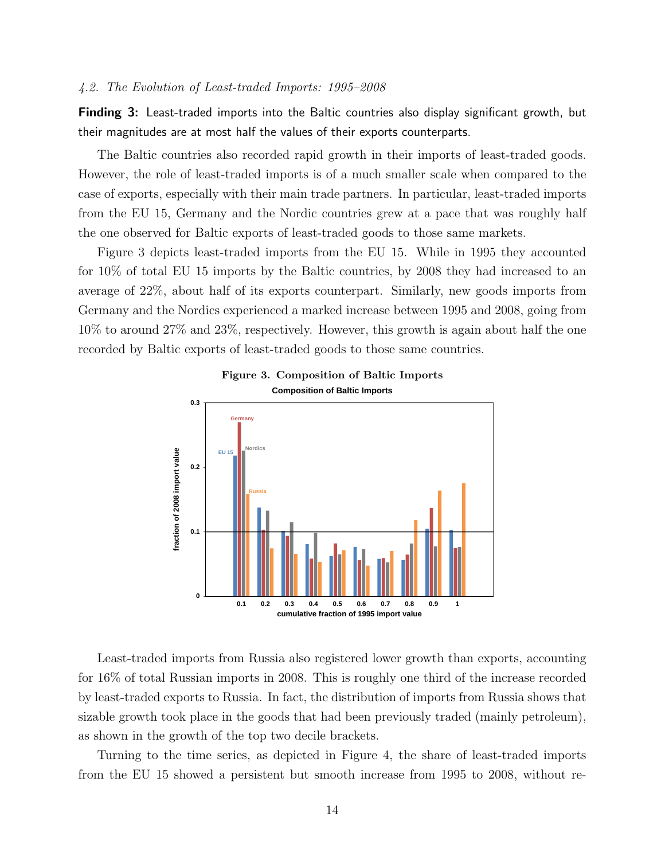#### 4.2. The Evolution of Least-traded Imports: 1995–2008

**Finding 3:** Least-traded imports into the Baltic countries also display significant growth, but their magnitudes are at most half the values of their exports counterparts.

The Baltic countries also recorded rapid growth in their imports of least-traded goods. However, the role of least-traded imports is of a much smaller scale when compared to the case of exports, especially with their main trade partners. In particular, least-traded imports from the EU 15, Germany and the Nordic countries grew at a pace that was roughly half the one observed for Baltic exports of least-traded goods to those same markets.

Figure 3 depicts least-traded imports from the EU 15. While in 1995 they accounted for 10% of total EU 15 imports by the Baltic countries, by 2008 they had increased to an average of 22%, about half of its exports counterpart. Similarly, new goods imports from Germany and the Nordics experienced a marked increase between 1995 and 2008, going from 10% to around 27% and 23%, respectively. However, this growth is again about half the one recorded by Baltic exports of least-traded goods to those same countries.





Least-traded imports from Russia also registered lower growth than exports, accounting for 16% of total Russian imports in 2008. This is roughly one third of the increase recorded by least-traded exports to Russia. In fact, the distribution of imports from Russia shows that sizable growth took place in the goods that had been previously traded (mainly petroleum), as shown in the growth of the top two decile brackets.

Turning to the time series, as depicted in Figure 4, the share of least-traded imports from the EU 15 showed a persistent but smooth increase from 1995 to 2008, without re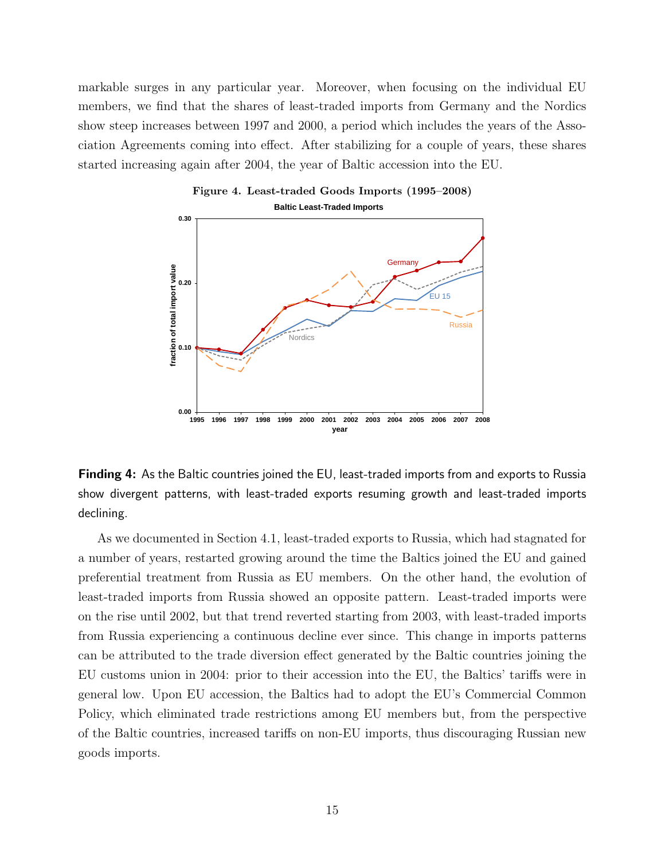markable surges in any particular year. Moreover, when focusing on the individual EU members, we find that the shares of least-traded imports from Germany and the Nordics show steep increases between 1997 and 2000, a period which includes the years of the Association Agreements coming into effect. After stabilizing for a couple of years, these shares started increasing again after 2004, the year of Baltic accession into the EU.





Finding 4: As the Baltic countries joined the EU, least-traded imports from and exports to Russia show divergent patterns, with least-traded exports resuming growth and least-traded imports declining.

As we documented in Section 4.1, least-traded exports to Russia, which had stagnated for a number of years, restarted growing around the time the Baltics joined the EU and gained preferential treatment from Russia as EU members. On the other hand, the evolution of least-traded imports from Russia showed an opposite pattern. Least-traded imports were on the rise until 2002, but that trend reverted starting from 2003, with least-traded imports from Russia experiencing a continuous decline ever since. This change in imports patterns can be attributed to the trade diversion effect generated by the Baltic countries joining the EU customs union in 2004: prior to their accession into the EU, the Baltics' tariffs were in general low. Upon EU accession, the Baltics had to adopt the EU's Commercial Common Policy, which eliminated trade restrictions among EU members but, from the perspective of the Baltic countries, increased tariffs on non-EU imports, thus discouraging Russian new goods imports.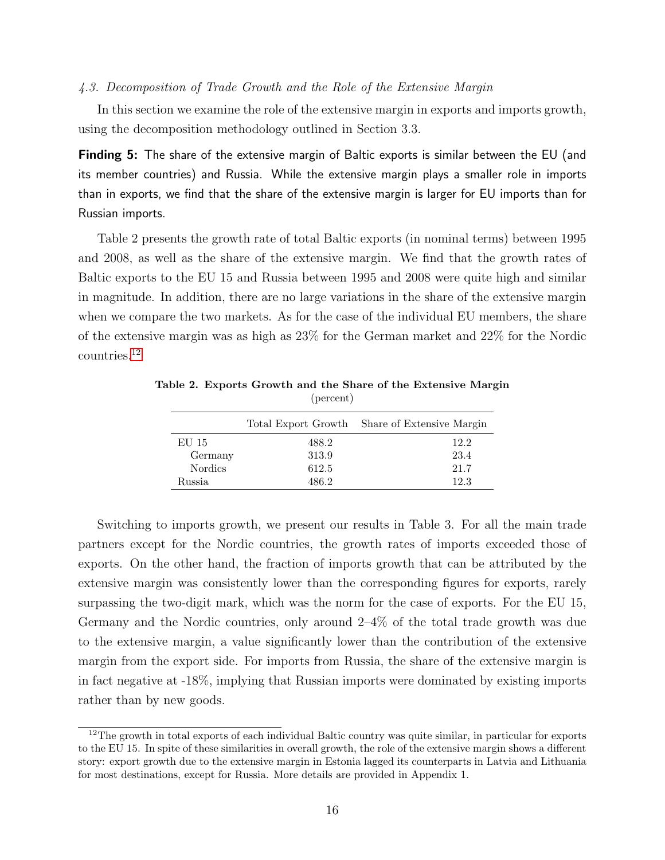#### 4.3. Decomposition of Trade Growth and the Role of the Extensive Margin

In this section we examine the role of the extensive margin in exports and imports growth, using the decomposition methodology outlined in Section 3.3.

Finding 5: The share of the extensive margin of Baltic exports is similar between the EU (and its member countries) and Russia. While the extensive margin plays a smaller role in imports than in exports, we find that the share of the extensive margin is larger for EU imports than for Russian imports.

Table 2 presents the growth rate of total Baltic exports (in nominal terms) between 1995 and 2008, as well as the share of the extensive margin. We find that the growth rates of Baltic exports to the EU 15 and Russia between 1995 and 2008 were quite high and similar in magnitude. In addition, there are no large variations in the share of the extensive margin when we compare the two markets. As for the case of the individual EU members, the share of the extensive margin was as high as 23% for the German market and 22% for the Nordic countries.[12](#page-1-0)

|                |       | Total Export Growth Share of Extensive Margin |
|----------------|-------|-----------------------------------------------|
| EU 15          | 488.2 | 12.2                                          |
| Germany        | 313.9 | 23.4                                          |
| <b>Nordics</b> | 612.5 | 21.7                                          |
| Russia         | 486.2 | 12.3                                          |

Table 2. Exports Growth and the Share of the Extensive Margin (percent)

Switching to imports growth, we present our results in Table 3. For all the main trade partners except for the Nordic countries, the growth rates of imports exceeded those of exports. On the other hand, the fraction of imports growth that can be attributed by the extensive margin was consistently lower than the corresponding figures for exports, rarely surpassing the two-digit mark, which was the norm for the case of exports. For the EU 15, Germany and the Nordic countries, only around 2–4% of the total trade growth was due to the extensive margin, a value significantly lower than the contribution of the extensive margin from the export side. For imports from Russia, the share of the extensive margin is in fact negative at -18%, implying that Russian imports were dominated by existing imports rather than by new goods.

<sup>&</sup>lt;sup>12</sup>The growth in total exports of each individual Baltic country was quite similar, in particular for exports to the EU 15. In spite of these similarities in overall growth, the role of the extensive margin shows a different story: export growth due to the extensive margin in Estonia lagged its counterparts in Latvia and Lithuania for most destinations, except for Russia. More details are provided in Appendix 1.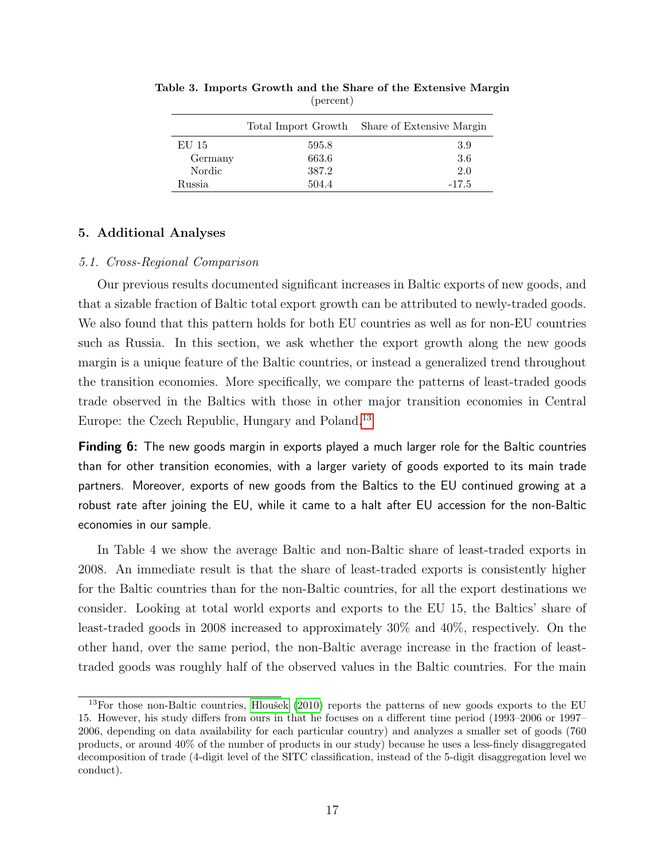|         |       | Total Import Growth Share of Extensive Margin |
|---------|-------|-----------------------------------------------|
| EU 15   | 595.8 | 3.9                                           |
| Germany | 663.6 | 3.6                                           |
| Nordic  | 387.2 | 2.0                                           |
| Russia  | 504.4 | $-17.5$                                       |

Table 3. Imports Growth and the Share of the Extensive Margin (percent)

## 5. Additional Analyses

#### 5.1. Cross-Regional Comparison

Our previous results documented significant increases in Baltic exports of new goods, and that a sizable fraction of Baltic total export growth can be attributed to newly-traded goods. We also found that this pattern holds for both EU countries as well as for non-EU countries such as Russia. In this section, we ask whether the export growth along the new goods margin is a unique feature of the Baltic countries, or instead a generalized trend throughout the transition economies. More specifically, we compare the patterns of least-traded goods trade observed in the Baltics with those in other major transition economies in Central Europe: the Czech Republic, Hungary and Poland.<sup>[13](#page-1-0)</sup>

Finding 6: The new goods margin in exports played a much larger role for the Baltic countries than for other transition economies, with a larger variety of goods exported to its main trade partners. Moreover, exports of new goods from the Baltics to the EU continued growing at a robust rate after joining the EU, while it came to a halt after EU accession for the non-Baltic economies in our sample.

In Table 4 we show the average Baltic and non-Baltic share of least-traded exports in 2008. An immediate result is that the share of least-traded exports is consistently higher for the Baltic countries than for the non-Baltic countries, for all the export destinations we consider. Looking at total world exports and exports to the EU 15, the Baltics' share of least-traded goods in 2008 increased to approximately 30% and 40%, respectively. On the other hand, over the same period, the non-Baltic average increase in the fraction of leasttraded goods was roughly half of the observed values in the Baltic countries. For the main

 $13$ For those non-Baltic countries, Hloušek [\(2010\)](#page-29-4) reports the patterns of new goods exports to the EU 15. However, his study differs from ours in that he focuses on a different time period (1993–2006 or 1997– 2006, depending on data availability for each particular country) and analyzes a smaller set of goods (760 products, or around 40% of the number of products in our study) because he uses a less-finely disaggregated decomposition of trade (4-digit level of the SITC classification, instead of the 5-digit disaggregation level we conduct).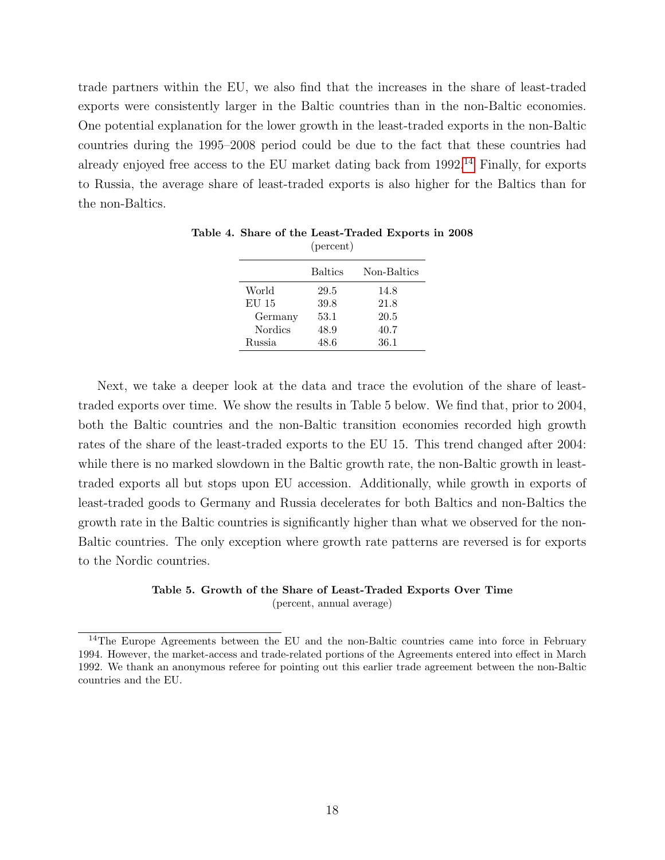trade partners within the EU, we also find that the increases in the share of least-traded exports were consistently larger in the Baltic countries than in the non-Baltic economies. One potential explanation for the lower growth in the least-traded exports in the non-Baltic countries during the 1995–2008 period could be due to the fact that these countries had already enjoyed free access to the EU market dating back from 1992.[14](#page-1-0) Finally, for exports to Russia, the average share of least-traded exports is also higher for the Baltics than for the non-Baltics.

|                | <b>Baltics</b> | Non-Baltics |
|----------------|----------------|-------------|
| World          | 29.5           | 14.8        |
| EU 15          | 39.8           | 21.8        |
| Germany        | 53.1           | 20.5        |
| <b>Nordics</b> | 48.9           | 40.7        |
| Russia         | 48.6           | 36.1        |

Table 4. Share of the Least-Traded Exports in 2008 (percent)

Next, we take a deeper look at the data and trace the evolution of the share of leasttraded exports over time. We show the results in Table 5 below. We find that, prior to 2004, both the Baltic countries and the non-Baltic transition economies recorded high growth rates of the share of the least-traded exports to the EU 15. This trend changed after 2004: while there is no marked slowdown in the Baltic growth rate, the non-Baltic growth in leasttraded exports all but stops upon EU accession. Additionally, while growth in exports of least-traded goods to Germany and Russia decelerates for both Baltics and non-Baltics the growth rate in the Baltic countries is significantly higher than what we observed for the non-Baltic countries. The only exception where growth rate patterns are reversed is for exports to the Nordic countries.

#### Table 5. Growth of the Share of Least-Traded Exports Over Time (percent, annual average)

<sup>&</sup>lt;sup>14</sup>The Europe Agreements between the EU and the non-Baltic countries came into force in February 1994. However, the market-access and trade-related portions of the Agreements entered into effect in March 1992. We thank an anonymous referee for pointing out this earlier trade agreement between the non-Baltic countries and the EU.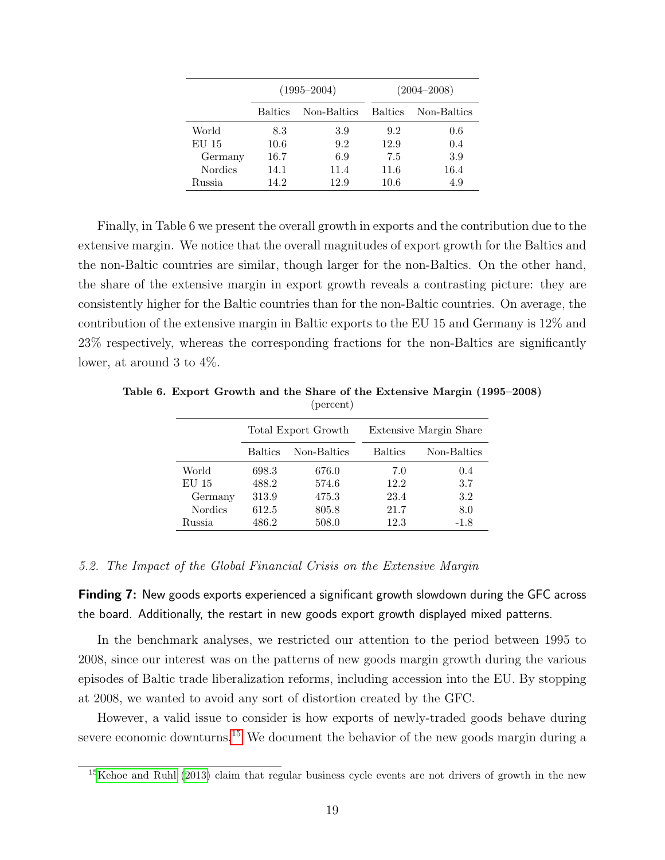|                |                | $(1995 - 2004)$ | $(2004 - 2008)$ |             |  |  |
|----------------|----------------|-----------------|-----------------|-------------|--|--|
|                | <b>Baltics</b> | Non-Baltics     | <b>Baltics</b>  | Non-Baltics |  |  |
| World          | 8.3            | 3.9             | 9.2             | 0.6         |  |  |
| <b>EU 15</b>   | 10.6           | 9.2             | 12.9            | 0.4         |  |  |
| Germany        | 16.7           | 6.9             | 7.5             | 3.9         |  |  |
| <b>Nordics</b> | 14.1           | 11.4            | 11.6            | 16.4        |  |  |
| Russia         | 14.2           | 12.9            | 10.6            | 4.9         |  |  |

Finally, in Table 6 we present the overall growth in exports and the contribution due to the extensive margin. We notice that the overall magnitudes of export growth for the Baltics and the non-Baltic countries are similar, though larger for the non-Baltics. On the other hand, the share of the extensive margin in export growth reveals a contrasting picture: they are consistently higher for the Baltic countries than for the non-Baltic countries. On average, the contribution of the extensive margin in Baltic exports to the EU 15 and Germany is 12% and 23% respectively, whereas the corresponding fractions for the non-Baltics are significantly lower, at around 3 to 4%.

|                |                | Total Export Growth |                | Extensive Margin Share |
|----------------|----------------|---------------------|----------------|------------------------|
|                | <b>Baltics</b> | Non-Baltics         | <b>Baltics</b> | Non-Baltics            |
| World          | 698.3          | 676.0               | 7.0            | 0.4                    |
| EU 15          | 488.2          | 574.6               | 12.2           | 3.7                    |
| Germany        | 313.9          | 475.3               | 23.4           | 3.2                    |
| <b>Nordics</b> | 612.5          | 805.8               | 21.7           | 8.0                    |
| Russia         | 486.2          | 508.0               | 12.3           | $-1.8$                 |

Table 6. Export Growth and the Share of the Extensive Margin (1995–2008) (percent)

## 5.2. The Impact of the Global Financial Crisis on the Extensive Margin

Finding 7: New goods exports experienced a significant growth slowdown during the GFC across the board. Additionally, the restart in new goods export growth displayed mixed patterns.

In the benchmark analyses, we restricted our attention to the period between 1995 to 2008, since our interest was on the patterns of new goods margin growth during the various episodes of Baltic trade liberalization reforms, including accession into the EU. By stopping at 2008, we wanted to avoid any sort of distortion created by the GFC.

However, a valid issue to consider is how exports of newly-traded goods behave during severe economic downturns.<sup>[15](#page-1-0)</sup> We document the behavior of the new goods margin during a

<sup>&</sup>lt;sup>15</sup>[Kehoe and Ruhl](#page-29-0) [\(2013\)](#page-29-0) claim that regular business cycle events are not drivers of growth in the new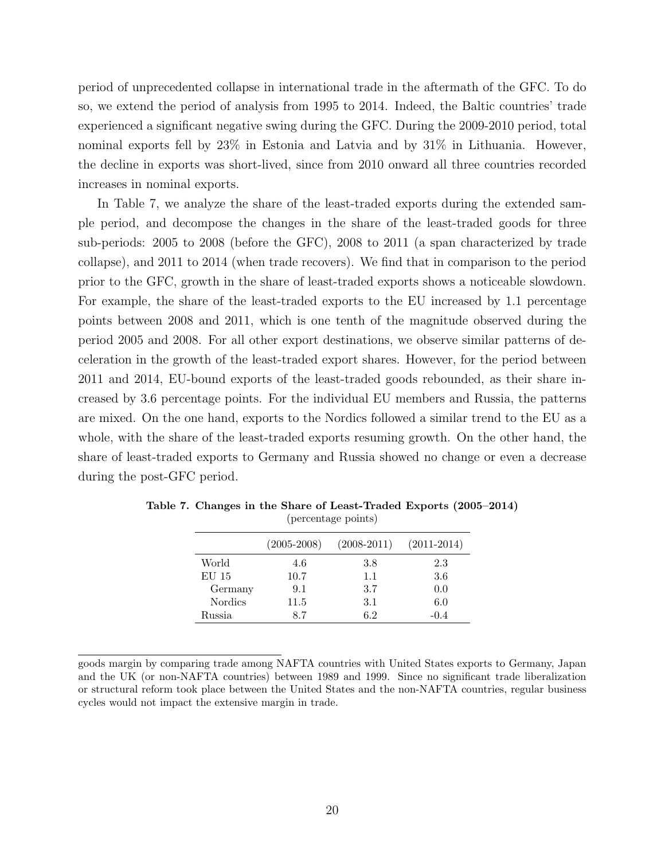period of unprecedented collapse in international trade in the aftermath of the GFC. To do so, we extend the period of analysis from 1995 to 2014. Indeed, the Baltic countries' trade experienced a significant negative swing during the GFC. During the 2009-2010 period, total nominal exports fell by 23% in Estonia and Latvia and by 31% in Lithuania. However, the decline in exports was short-lived, since from 2010 onward all three countries recorded increases in nominal exports.

In Table 7, we analyze the share of the least-traded exports during the extended sample period, and decompose the changes in the share of the least-traded goods for three sub-periods: 2005 to 2008 (before the GFC), 2008 to 2011 (a span characterized by trade collapse), and 2011 to 2014 (when trade recovers). We find that in comparison to the period prior to the GFC, growth in the share of least-traded exports shows a noticeable slowdown. For example, the share of the least-traded exports to the EU increased by 1.1 percentage points between 2008 and 2011, which is one tenth of the magnitude observed during the period 2005 and 2008. For all other export destinations, we observe similar patterns of deceleration in the growth of the least-traded export shares. However, for the period between 2011 and 2014, EU-bound exports of the least-traded goods rebounded, as their share increased by 3.6 percentage points. For the individual EU members and Russia, the patterns are mixed. On the one hand, exports to the Nordics followed a similar trend to the EU as a whole, with the share of the least-traded exports resuming growth. On the other hand, the share of least-traded exports to Germany and Russia showed no change or even a decrease during the post-GFC period.

|                | $(2005 - 2008)$ | $(2008 - 2011)$ | $(2011 - 2014)$ |
|----------------|-----------------|-----------------|-----------------|
| World          | 4.6             | 3.8             | 2.3             |
| EU 15          | 10.7            | 1.1             | 3.6             |
| Germany        | 9.1             | 3.7             | 0.0             |
| <b>Nordics</b> | 11.5            | 3.1             | 6.0             |
| Russia         | 87              | 6.2             | $-0.4$          |

Table 7. Changes in the Share of Least-Traded Exports (2005–2014) (percentage points)

goods margin by comparing trade among NAFTA countries with United States exports to Germany, Japan and the UK (or non-NAFTA countries) between 1989 and 1999. Since no significant trade liberalization or structural reform took place between the United States and the non-NAFTA countries, regular business cycles would not impact the extensive margin in trade.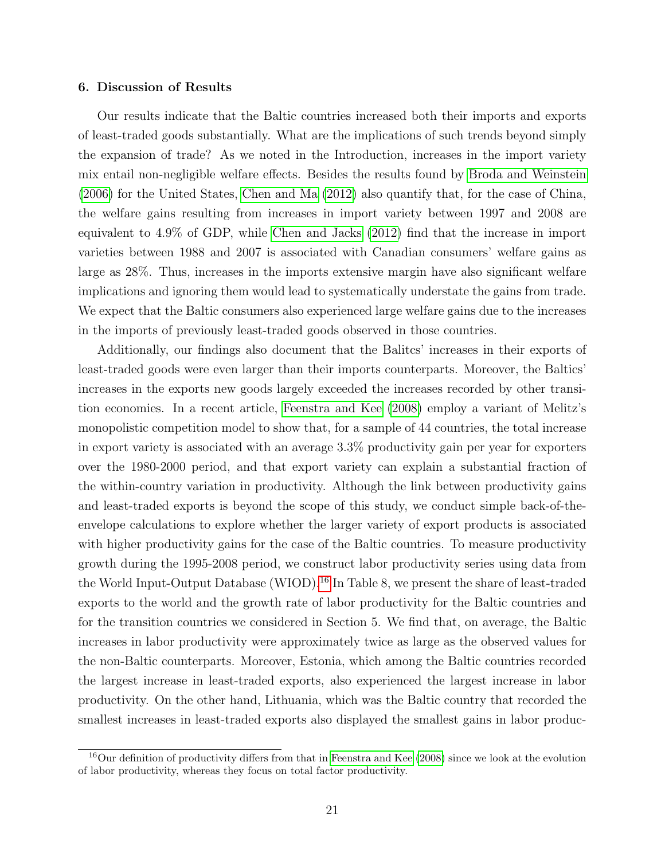#### 6. Discussion of Results

Our results indicate that the Baltic countries increased both their imports and exports of least-traded goods substantially. What are the implications of such trends beyond simply the expansion of trade? As we noted in the Introduction, increases in the import variety mix entail non-negligible welfare effects. Besides the results found by [Broda and Weinstein](#page-28-2) [\(2006\)](#page-28-2) for the United States, [Chen and Ma](#page-28-9) [\(2012\)](#page-28-9) also quantify that, for the case of China, the welfare gains resulting from increases in import variety between 1997 and 2008 are equivalent to 4.9% of GDP, while [Chen and Jacks](#page-28-10) [\(2012\)](#page-28-10) find that the increase in import varieties between 1988 and 2007 is associated with Canadian consumers' welfare gains as large as 28%. Thus, increases in the imports extensive margin have also significant welfare implications and ignoring them would lead to systematically understate the gains from trade. We expect that the Baltic consumers also experienced large welfare gains due to the increases in the imports of previously least-traded goods observed in those countries.

Additionally, our findings also document that the Balitcs' increases in their exports of least-traded goods were even larger than their imports counterparts. Moreover, the Baltics' increases in the exports new goods largely exceeded the increases recorded by other transition economies. In a recent article, [Feenstra and Kee](#page-28-11) [\(2008\)](#page-28-11) employ a variant of Melitz's monopolistic competition model to show that, for a sample of 44 countries, the total increase in export variety is associated with an average 3.3% productivity gain per year for exporters over the 1980-2000 period, and that export variety can explain a substantial fraction of the within-country variation in productivity. Although the link between productivity gains and least-traded exports is beyond the scope of this study, we conduct simple back-of-theenvelope calculations to explore whether the larger variety of export products is associated with higher productivity gains for the case of the Baltic countries. To measure productivity growth during the 1995-2008 period, we construct labor productivity series using data from the World Input-Output Database (WIOD).<sup>[16](#page-1-0)</sup> In Table 8, we present the share of least-traded exports to the world and the growth rate of labor productivity for the Baltic countries and for the transition countries we considered in Section 5. We find that, on average, the Baltic increases in labor productivity were approximately twice as large as the observed values for the non-Baltic counterparts. Moreover, Estonia, which among the Baltic countries recorded the largest increase in least-traded exports, also experienced the largest increase in labor productivity. On the other hand, Lithuania, which was the Baltic country that recorded the smallest increases in least-traded exports also displayed the smallest gains in labor produc-

<sup>&</sup>lt;sup>16</sup>Our definition of productivity differs from that in [Feenstra and Kee](#page-28-11) [\(2008\)](#page-28-11) since we look at the evolution of labor productivity, whereas they focus on total factor productivity.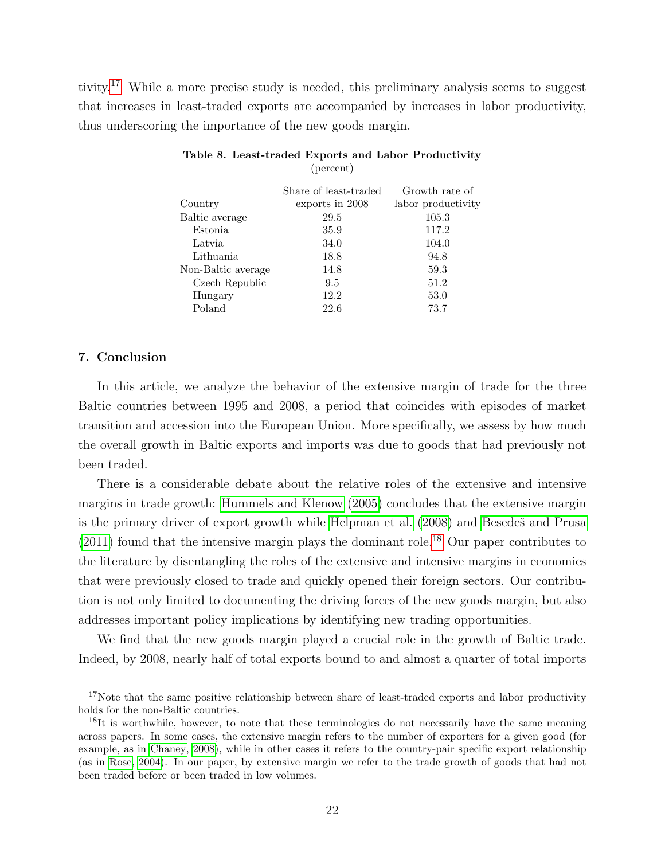tivity.[17](#page-1-0) While a more precise study is needed, this preliminary analysis seems to suggest that increases in least-traded exports are accompanied by increases in labor productivity, thus underscoring the importance of the new goods margin.

|                    | Share of least-traded | Growth rate of     |
|--------------------|-----------------------|--------------------|
| Country            | exports in 2008       | labor productivity |
| Baltic average     | 29.5                  | 105.3              |
| Estonia            | 35.9                  | 117.2              |
| Latvia             | 34.0                  | 104.0              |
| Lithuania          | 18.8                  | 94.8               |
| Non-Baltic average | 14.8                  | 59.3               |
| Czech Republic     | 9.5                   | 51.2               |
| Hungary            | 12.2                  | 53.0               |
| Poland             | 22.6                  | 73.7               |

| Table 8. Least-traded Exports and Labor Productivity |           |  |  |
|------------------------------------------------------|-----------|--|--|
|                                                      | (percent) |  |  |

# 7. Conclusion

In this article, we analyze the behavior of the extensive margin of trade for the three Baltic countries between 1995 and 2008, a period that coincides with episodes of market transition and accession into the European Union. More specifically, we assess by how much the overall growth in Baltic exports and imports was due to goods that had previously not been traded.

There is a considerable debate about the relative roles of the extensive and intensive margins in trade growth: [Hummels and Klenow](#page-29-10) [\(2005\)](#page-29-10) concludes that the extensive margin is the primary driver of export growth while [Helpman et al.](#page-29-11) [\(2008\)](#page-29-11) and Besedeš and Prusa  $(2011)$  found that the intensive margin plays the dominant role.<sup>[18](#page-1-0)</sup> Our paper contributes to the literature by disentangling the roles of the extensive and intensive margins in economies that were previously closed to trade and quickly opened their foreign sectors. Our contribution is not only limited to documenting the driving forces of the new goods margin, but also addresses important policy implications by identifying new trading opportunities.

We find that the new goods margin played a crucial role in the growth of Baltic trade. Indeed, by 2008, nearly half of total exports bound to and almost a quarter of total imports

<sup>&</sup>lt;sup>17</sup>Note that the same positive relationship between share of least-traded exports and labor productivity holds for the non-Baltic countries.

<sup>&</sup>lt;sup>18</sup>It is worthwhile, however, to note that these terminologies do not necessarily have the same meaning across papers. In some cases, the extensive margin refers to the number of exporters for a given good (for example, as in [Chaney, 2008\)](#page-28-13), while in other cases it refers to the country-pair specific export relationship (as in [Rose, 2004\)](#page-29-12). In our paper, by extensive margin we refer to the trade growth of goods that had not been traded before or been traded in low volumes.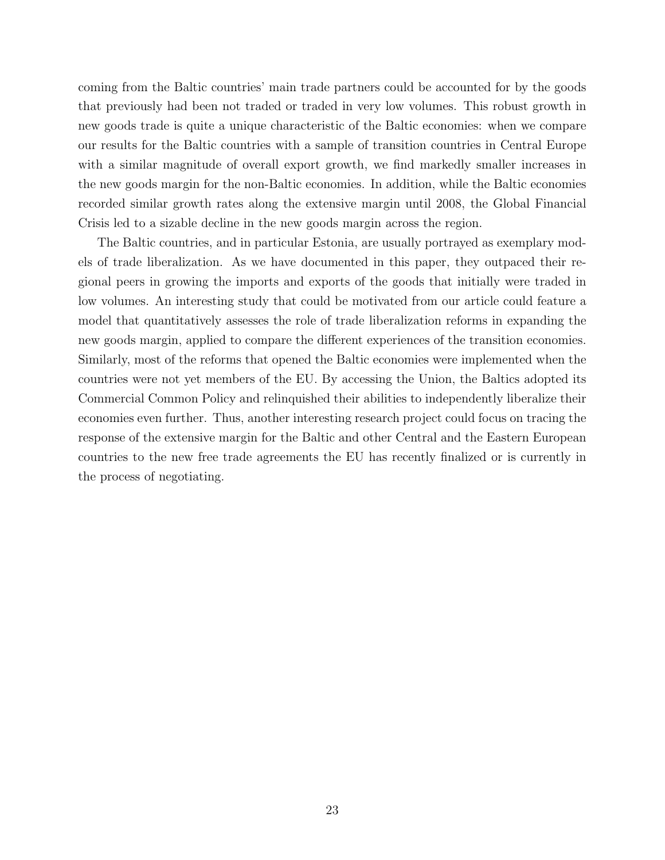coming from the Baltic countries' main trade partners could be accounted for by the goods that previously had been not traded or traded in very low volumes. This robust growth in new goods trade is quite a unique characteristic of the Baltic economies: when we compare our results for the Baltic countries with a sample of transition countries in Central Europe with a similar magnitude of overall export growth, we find markedly smaller increases in the new goods margin for the non-Baltic economies. In addition, while the Baltic economies recorded similar growth rates along the extensive margin until 2008, the Global Financial Crisis led to a sizable decline in the new goods margin across the region.

The Baltic countries, and in particular Estonia, are usually portrayed as exemplary models of trade liberalization. As we have documented in this paper, they outpaced their regional peers in growing the imports and exports of the goods that initially were traded in low volumes. An interesting study that could be motivated from our article could feature a model that quantitatively assesses the role of trade liberalization reforms in expanding the new goods margin, applied to compare the different experiences of the transition economies. Similarly, most of the reforms that opened the Baltic economies were implemented when the countries were not yet members of the EU. By accessing the Union, the Baltics adopted its Commercial Common Policy and relinquished their abilities to independently liberalize their economies even further. Thus, another interesting research project could focus on tracing the response of the extensive margin for the Baltic and other Central and the Eastern European countries to the new free trade agreements the EU has recently finalized or is currently in the process of negotiating.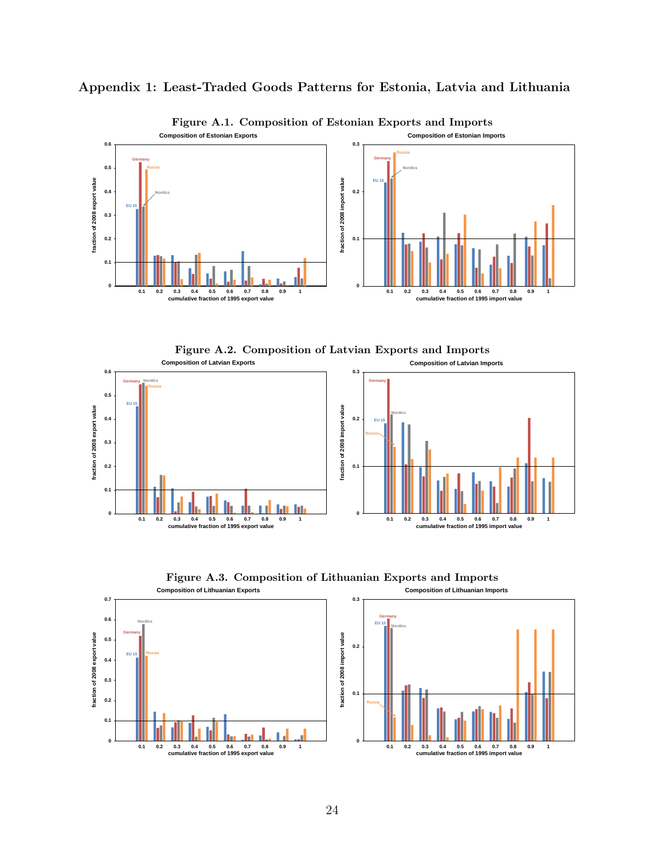

# Appendix 1: Least-Traded Goods Patterns for Estonia, Latvia and Lithuania

Figure A.2. Composition of Latvian Exports and Imports





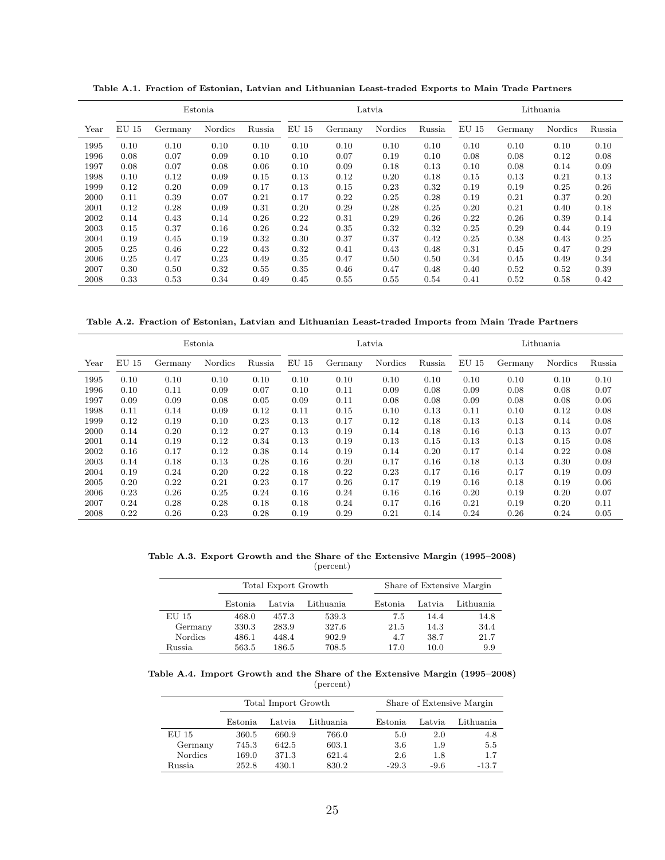|      | Estonia |         |         |        | Latvia |         |         |        | Lithuania |         |         |        |
|------|---------|---------|---------|--------|--------|---------|---------|--------|-----------|---------|---------|--------|
| Year | $EU$ 15 | Germany | Nordics | Russia | EU 15  | Germany | Nordics | Russia | EU 15     | Germany | Nordics | Russia |
| 1995 | 0.10    | 0.10    | 0.10    | 0.10   | 0.10   | 0.10    | 0.10    | 0.10   | 0.10      | 0.10    | 0.10    | 0.10   |
| 1996 | 0.08    | 0.07    | 0.09    | 0.10   | 0.10   | 0.07    | 0.19    | 0.10   | 0.08      | 0.08    | 0.12    | 0.08   |
| 1997 | 0.08    | 0.07    | 0.08    | 0.06   | 0.10   | 0.09    | 0.18    | 0.13   | 0.10      | 0.08    | 0.14    | 0.09   |
| 1998 | 0.10    | 0.12    | 0.09    | 0.15   | 0.13   | 0.12    | 0.20    | 0.18   | 0.15      | 0.13    | 0.21    | 0.13   |
| 1999 | 0.12    | 0.20    | 0.09    | 0.17   | 0.13   | 0.15    | 0.23    | 0.32   | 0.19      | 0.19    | 0.25    | 0.26   |
| 2000 | 0.11    | 0.39    | 0.07    | 0.21   | 0.17   | 0.22    | 0.25    | 0.28   | 0.19      | 0.21    | 0.37    | 0.20   |
| 2001 | 0.12    | 0.28    | 0.09    | 0.31   | 0.20   | 0.29    | 0.28    | 0.25   | 0.20      | 0.21    | 0.40    | 0.18   |
| 2002 | 0.14    | 0.43    | 0.14    | 0.26   | 0.22   | 0.31    | 0.29    | 0.26   | 0.22      | 0.26    | 0.39    | 0.14   |
| 2003 | 0.15    | 0.37    | 0.16    | 0.26   | 0.24   | 0.35    | 0.32    | 0.32   | 0.25      | 0.29    | 0.44    | 0.19   |
| 2004 | 0.19    | 0.45    | 0.19    | 0.32   | 0.30   | 0.37    | 0.37    | 0.42   | 0.25      | 0.38    | 0.43    | 0.25   |
| 2005 | 0.25    | 0.46    | 0.22    | 0.43   | 0.32   | 0.41    | 0.43    | 0.48   | 0.31      | 0.45    | 0.47    | 0.29   |
| 2006 | 0.25    | 0.47    | 0.23    | 0.49   | 0.35   | 0.47    | 0.50    | 0.50   | 0.34      | 0.45    | 0.49    | 0.34   |
| 2007 | 0.30    | 0.50    | 0.32    | 0.55   | 0.35   | 0.46    | 0.47    | 0.48   | 0.40      | 0.52    | 0.52    | 0.39   |
| 2008 | 0.33    | 0.53    | 0.34    | 0.49   | 0.45   | 0.55    | 0.55    | 0.54   | 0.41      | 0.52    | 0.58    | 0.42   |

Table A.1. Fraction of Estonian, Latvian and Lithuanian Least-traded Exports to Main Trade Partners

Table A.2. Fraction of Estonian, Latvian and Lithuanian Least-traded Imports from Main Trade Partners

|      |              |         | Lithuania<br>Latvia<br>Estonia |        |       |         |         |        |         |         |         |        |
|------|--------------|---------|--------------------------------|--------|-------|---------|---------|--------|---------|---------|---------|--------|
| Year | <b>EU 15</b> | Germany | Nordics                        | Russia | EU 15 | Germany | Nordics | Russia | $EU$ 15 | Germany | Nordics | Russia |
| 1995 | 0.10         | 0.10    | 0.10                           | 0.10   | 0.10  | 0.10    | 0.10    | 0.10   | 0.10    | 0.10    | 0.10    | 0.10   |
| 1996 | 0.10         | 0.11    | 0.09                           | 0.07   | 0.10  | 0.11    | 0.09    | 0.08   | 0.09    | 0.08    | 0.08    | 0.07   |
| 1997 | 0.09         | 0.09    | 0.08                           | 0.05   | 0.09  | 0.11    | 0.08    | 0.08   | 0.09    | 0.08    | 0.08    | 0.06   |
| 1998 | 0.11         | 0.14    | 0.09                           | 0.12   | 0.11  | 0.15    | 0.10    | 0.13   | 0.11    | 0.10    | 0.12    | 0.08   |
| 1999 | 0.12         | 0.19    | 0.10                           | 0.23   | 0.13  | 0.17    | 0.12    | 0.18   | 0.13    | 0.13    | 0.14    | 0.08   |
| 2000 | 0.14         | 0.20    | 0.12                           | 0.27   | 0.13  | 0.19    | 0.14    | 0.18   | 0.16    | 0.13    | 0.13    | 0.07   |
| 2001 | 0.14         | 0.19    | 0.12                           | 0.34   | 0.13  | 0.19    | 0.13    | 0.15   | 0.13    | 0.13    | 0.15    | 0.08   |
| 2002 | 0.16         | 0.17    | 0.12                           | 0.38   | 0.14  | 0.19    | 0.14    | 0.20   | 0.17    | 0.14    | 0.22    | 0.08   |
| 2003 | 0.14         | 0.18    | 0.13                           | 0.28   | 0.16  | 0.20    | 0.17    | 0.16   | 0.18    | 0.13    | 0.30    | 0.09   |
| 2004 | 0.19         | 0.24    | 0.20                           | 0.22   | 0.18  | 0.22    | 0.23    | 0.17   | 0.16    | 0.17    | 0.19    | 0.09   |
| 2005 | 0.20         | 0.22    | 0.21                           | 0.23   | 0.17  | 0.26    | 0.17    | 0.19   | 0.16    | 0.18    | 0.19    | 0.06   |
| 2006 | 0.23         | 0.26    | 0.25                           | 0.24   | 0.16  | 0.24    | 0.16    | 0.16   | 0.20    | 0.19    | 0.20    | 0.07   |
| 2007 | 0.24         | 0.28    | 0.28                           | 0.18   | 0.18  | 0.24    | 0.17    | 0.16   | 0.21    | 0.19    | 0.20    | 0.11   |
| 2008 | 0.22         | 0.26    | 0.23                           | 0.28   | 0.19  | 0.29    | 0.21    | 0.14   | 0.24    | 0.26    | 0.24    | 0.05   |

Table A.3. Export Growth and the Share of the Extensive Margin (1995–2008) (percent)

|                |         | Total Export Growth |           |         |         | Share of Extensive Margin |
|----------------|---------|---------------------|-----------|---------|---------|---------------------------|
|                | Estonia | Latvia              | Lithuania | Estonia | Latvia. | Lithuania                 |
| EU 15          | 468.0   | 457.3               | 539.3     | 7.5     | 14.4    | 14.8                      |
| Germany        | 330.3   | 283.9               | 327.6     | 21.5    | 14.3    | 34.4                      |
| <b>Nordics</b> | 486.1   | 448.4               | 902.9     | 4.7     | 38.7    | 21.7                      |
| Russia         | 563.5   | 186.5               | 708.5     | 17.0    | 10.0    | 9.9                       |

Table A.4. Import Growth and the Share of the Extensive Margin (1995–2008) (percent)

|                | Total Import Growth |         |           |         | Share of Extensive Margin |           |  |
|----------------|---------------------|---------|-----------|---------|---------------------------|-----------|--|
|                | <b>Estonia</b>      | Latvia. | Lithuania | Estonia | Latvia                    | Lithuania |  |
| EU 15          | 360.5               | 660.9   | 766.0     | 5.0     | 2.0                       | 4.8       |  |
| Germany        | 745.3               | 642.5   | 603.1     | 3.6     | 1.9                       | 5.5       |  |
| <b>Nordics</b> | 169.0               | 371.3   | 621.4     | 2.6     | 1.8                       | 1.7       |  |
| Russia         | 252.8               | 430.1   | 830.2     | $-29.3$ | $-9.6$                    | $-13.7$   |  |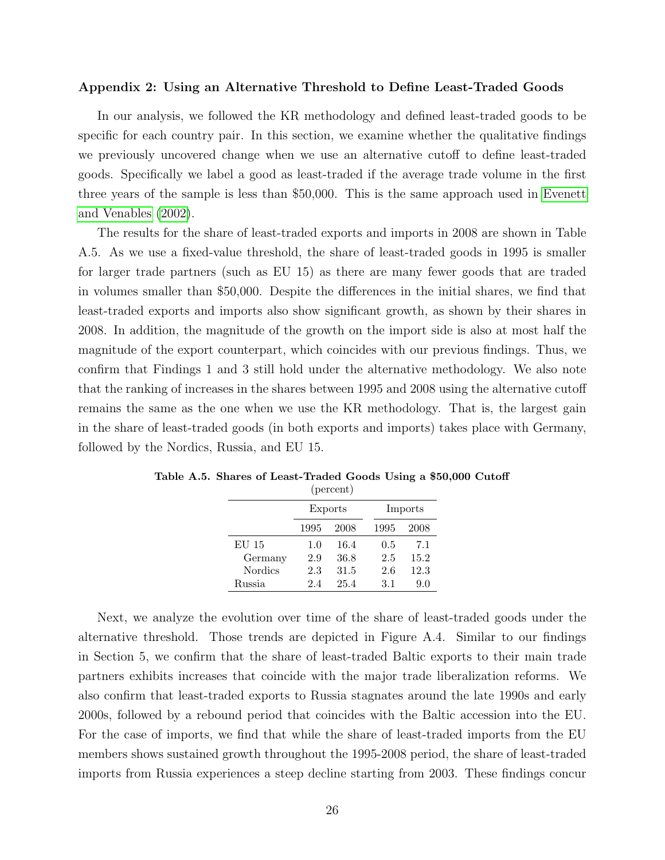#### Appendix 2: Using an Alternative Threshold to Define Least-Traded Goods

In our analysis, we followed the KR methodology and defined least-traded goods to be specific for each country pair. In this section, we examine whether the qualitative findings we previously uncovered change when we use an alternative cutoff to define least-traded goods. Specifically we label a good as least-traded if the average trade volume in the first three years of the sample is less than \$50,000. This is the same approach used in [Evenett](#page-28-3) [and Venables](#page-28-3) [\(2002\)](#page-28-3).

The results for the share of least-traded exports and imports in 2008 are shown in Table A.5. As we use a fixed-value threshold, the share of least-traded goods in 1995 is smaller for larger trade partners (such as EU 15) as there are many fewer goods that are traded in volumes smaller than \$50,000. Despite the differences in the initial shares, we find that least-traded exports and imports also show significant growth, as shown by their shares in 2008. In addition, the magnitude of the growth on the import side is also at most half the magnitude of the export counterpart, which coincides with our previous findings. Thus, we confirm that Findings 1 and 3 still hold under the alternative methodology. We also note that the ranking of increases in the shares between 1995 and 2008 using the alternative cutoff remains the same as the one when we use the KR methodology. That is, the largest gain in the share of least-traded goods (in both exports and imports) takes place with Germany, followed by the Nordics, Russia, and EU 15.

| (percent)      |      |         |         |      |  |  |  |  |
|----------------|------|---------|---------|------|--|--|--|--|
|                |      | Exports | Imports |      |  |  |  |  |
|                | 1995 | 2008    | 1995    | 2008 |  |  |  |  |
| EU 15          | 1.0  | 16.4    | $0.5\,$ | 7.1  |  |  |  |  |
| Germany        | 2.9  | 36.8    | 2.5     | 15.2 |  |  |  |  |
| <b>Nordics</b> | 2.3  | 31.5    | 2.6     | 12.3 |  |  |  |  |
| <b>Russia</b>  | 2.4  | 25.4    | 3.1     | 9.0  |  |  |  |  |

Table A.5. Shares of Least-Traded Goods Using a \$50,000 Cutoff

Next, we analyze the evolution over time of the share of least-traded goods under the alternative threshold. Those trends are depicted in Figure A.4. Similar to our findings in Section 5, we confirm that the share of least-traded Baltic exports to their main trade partners exhibits increases that coincide with the major trade liberalization reforms. We also confirm that least-traded exports to Russia stagnates around the late 1990s and early 2000s, followed by a rebound period that coincides with the Baltic accession into the EU. For the case of imports, we find that while the share of least-traded imports from the EU members shows sustained growth throughout the 1995-2008 period, the share of least-traded imports from Russia experiences a steep decline starting from 2003. These findings concur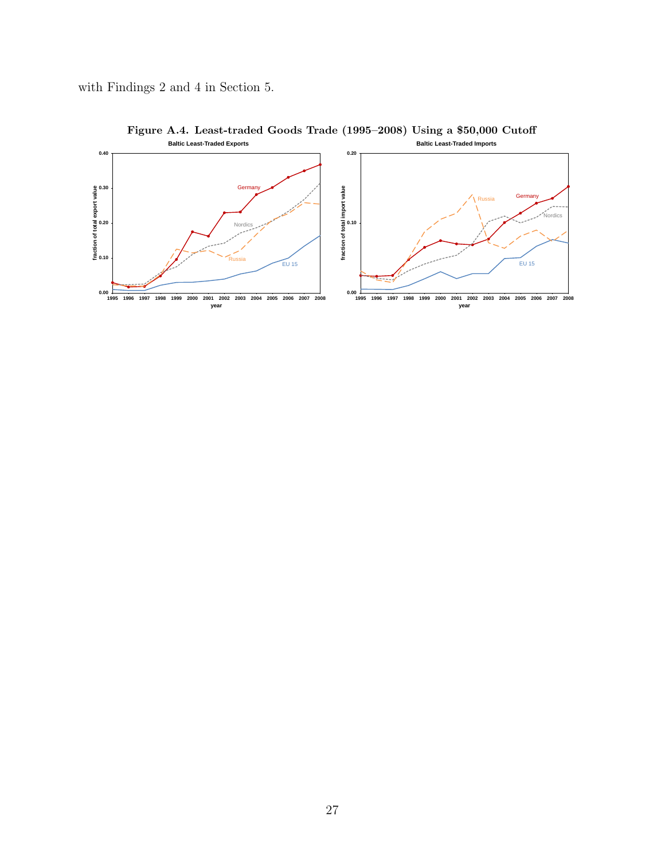with Findings 2 and 4 in Section 5.



Figure A.4. Least-traded Goods Trade (1995–2008) Using a \$50,000 Cutoff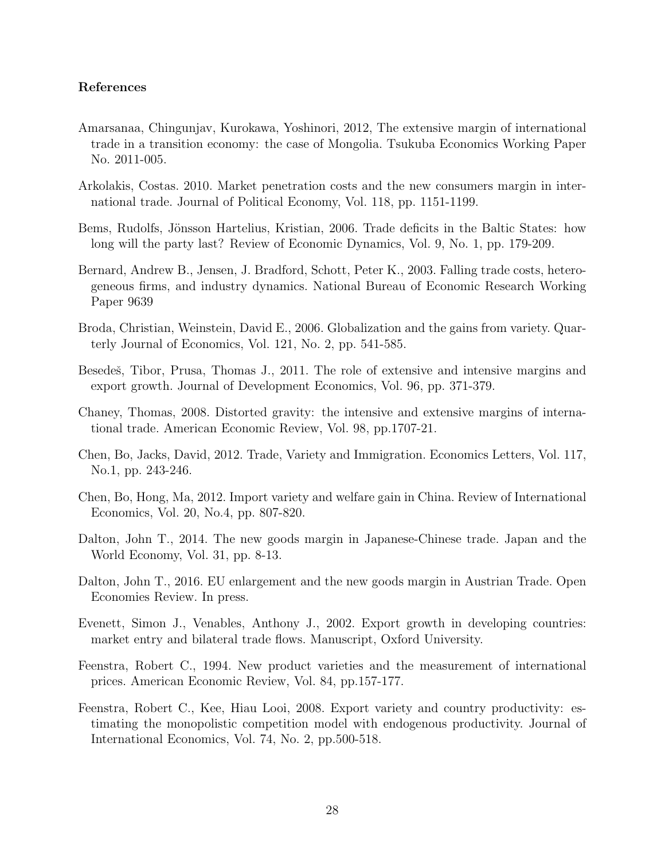## References

- <span id="page-28-4"></span>Amarsanaa, Chingunjav, Kurokawa, Yoshinori, 2012, The extensive margin of international trade in a transition economy: the case of Mongolia. Tsukuba Economics Working Paper No. 2011-005.
- <span id="page-28-1"></span>Arkolakis, Costas. 2010. Market penetration costs and the new consumers margin in international trade. Journal of Political Economy, Vol. 118, pp. 1151-1199.
- <span id="page-28-7"></span>Bems, Rudolfs, Jönsson Hartelius, Kristian, 2006. Trade deficits in the Baltic States: how long will the party last? Review of Economic Dynamics, Vol. 9, No. 1, pp. 179-209.
- <span id="page-28-0"></span>Bernard, Andrew B., Jensen, J. Bradford, Schott, Peter K., 2003. Falling trade costs, heterogeneous firms, and industry dynamics. National Bureau of Economic Research Working Paper 9639
- <span id="page-28-2"></span>Broda, Christian, Weinstein, David E., 2006. Globalization and the gains from variety. Quarterly Journal of Economics, Vol. 121, No. 2, pp. 541-585.
- <span id="page-28-12"></span>Besedeš, Tibor, Prusa, Thomas J., 2011. The role of extensive and intensive margins and export growth. Journal of Development Economics, Vol. 96, pp. 371-379.
- <span id="page-28-13"></span>Chaney, Thomas, 2008. Distorted gravity: the intensive and extensive margins of international trade. American Economic Review, Vol. 98, pp.1707-21.
- <span id="page-28-10"></span>Chen, Bo, Jacks, David, 2012. Trade, Variety and Immigration. Economics Letters, Vol. 117, No.1, pp. 243-246.
- <span id="page-28-9"></span>Chen, Bo, Hong, Ma, 2012. Import variety and welfare gain in China. Review of International Economics, Vol. 20, No.4, pp. 807-820.
- <span id="page-28-5"></span>Dalton, John T., 2014. The new goods margin in Japanese-Chinese trade. Japan and the World Economy, Vol. 31, pp. 8-13.
- <span id="page-28-6"></span>Dalton, John T., 2016. EU enlargement and the new goods margin in Austrian Trade. Open Economies Review. In press.
- <span id="page-28-3"></span>Evenett, Simon J., Venables, Anthony J., 2002. Export growth in developing countries: market entry and bilateral trade flows. Manuscript, Oxford University.
- <span id="page-28-8"></span>Feenstra, Robert C., 1994. New product varieties and the measurement of international prices. American Economic Review, Vol. 84, pp.157-177.
- <span id="page-28-11"></span>Feenstra, Robert C., Kee, Hiau Looi, 2008. Export variety and country productivity: estimating the monopolistic competition model with endogenous productivity. Journal of International Economics, Vol. 74, No. 2, pp.500-518.